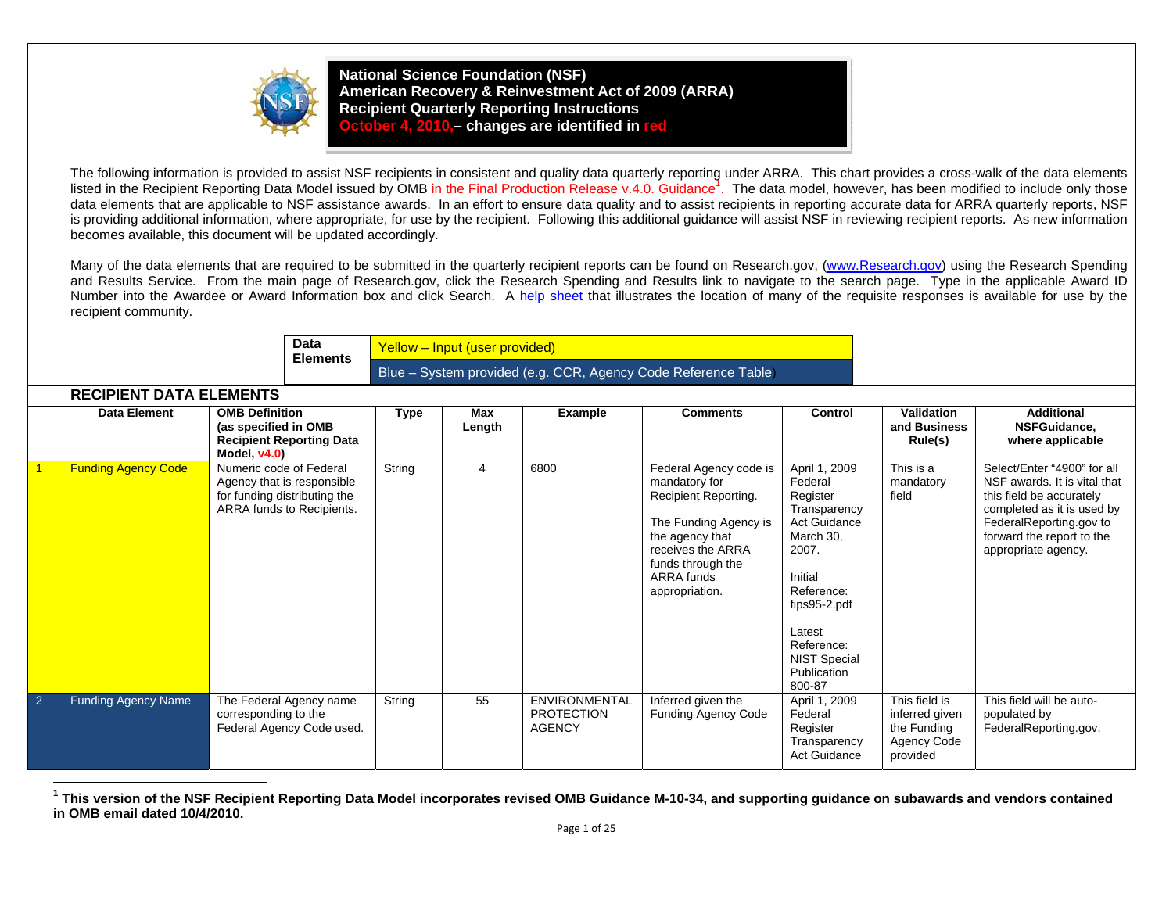

**RECIPIENT DATA ELEMENTS** 

**National Science Foundation (NSF) American Recovery & Reinvestment Act of 2009 (ARRA) Recipient Quarterly Reporting Instructions October 4, 2010,– changes are identified in red**

The following information is provided to assist NSF recipients in consistent and quality data quarterly reporting under ARRA. This chart provides a cross-walk of the data elements listed in the Recipient Reporting Data Model issued by OMB in the Final Production Release v.4.0. Guidance<sup>1</sup>. The data model, however, has been modified to include only those data elements that are applicable to NSF assistance awards. In an effort to ensure data quality and to assist recipients in reporting accurate data for ARRA quarterly reports, NSF is providing additional information, where appropriate, for use by the recipient. Following this additional quidance will assist NSF in reviewing recipient reports. As new information becomes available, this document will be updated accordingly.

Many of the data elements that are required to be submitted in the quarterly recipient reports can be found on Research.gov, (www.Research.gov) using the Research Spending and Results Service. From the main page of Research.gov, click the Research Spending and Results link to navigate to the search page. Type in the applicable Award ID Number into the Awardee or Award Information box and click Search. A help sheet that illustrates the location of many of the requisite responses is available for use by the recipient community.

> **Data Elements** Yellow – Input (user provided)

Blue – System provided (e.g. CCR, Agency Code Reference Table)

|            | KEUIPIENI DATA ELEMENTS    |                                                                                                                    |        |               |                                                     |                                                                                                                                                                                       |                                                                                                                                                                                                                    |                                                                           |                                                                                                                                                                                                      |  |  |  |
|------------|----------------------------|--------------------------------------------------------------------------------------------------------------------|--------|---------------|-----------------------------------------------------|---------------------------------------------------------------------------------------------------------------------------------------------------------------------------------------|--------------------------------------------------------------------------------------------------------------------------------------------------------------------------------------------------------------------|---------------------------------------------------------------------------|------------------------------------------------------------------------------------------------------------------------------------------------------------------------------------------------------|--|--|--|
|            | <b>Data Element</b>        | <b>OMB Definition</b><br>(as specified in OMB<br><b>Recipient Reporting Data</b><br>Model v4.0)                    | Type   | Max<br>Length | Example                                             | <b>Comments</b>                                                                                                                                                                       | Control                                                                                                                                                                                                            | <b>Validation</b><br>and Business<br>Rule(s)                              | <b>Additional</b><br>NSFGuidance,<br>where applicable                                                                                                                                                |  |  |  |
|            | <b>Funding Agency Code</b> | Numeric code of Federal<br>Agency that is responsible<br>for funding distributing the<br>ARRA funds to Recipients. | String | 4             | 6800                                                | Federal Agency code is<br>mandatory for<br>Recipient Reporting.<br>The Funding Agency is<br>the agency that<br>receives the ARRA<br>funds through the<br>ARRA funds<br>appropriation. | April 1, 2009<br>Federal<br>Register<br>Transparency<br><b>Act Guidance</b><br>March 30,<br>2007.<br>Initial<br>Reference:<br>fips95-2.pdf<br>Latest<br>Reference:<br><b>NIST Special</b><br>Publication<br>800-87 | This is a<br>mandatory<br>field                                           | Select/Enter "4900" for all<br>NSF awards. It is vital that<br>this field be accurately<br>completed as it is used by<br>FederalReporting.gov to<br>forward the report to the<br>appropriate agency. |  |  |  |
| $\sqrt{2}$ | <b>Funding Agency Name</b> | The Federal Agency name<br>corresponding to the<br>Federal Agency Code used.                                       | String | 55            | ENVIRONMENTAL<br><b>PROTECTION</b><br><b>AGENCY</b> | Inferred given the<br><b>Funding Agency Code</b>                                                                                                                                      | April 1, 2009<br>Federal<br>Register<br>Transparency<br><b>Act Guidance</b>                                                                                                                                        | This field is<br>inferred given<br>the Funding<br>Agency Code<br>provided | This field will be auto-<br>populated by<br>FederalReporting.gov.                                                                                                                                    |  |  |  |

**<sup>1</sup> This version of the NSF Recipient Reporting Data Model incorporates revised OMB Guidance M-10-34, and supporting guidance on subawards and vendors contained in OMB email dated 10/4/2010.**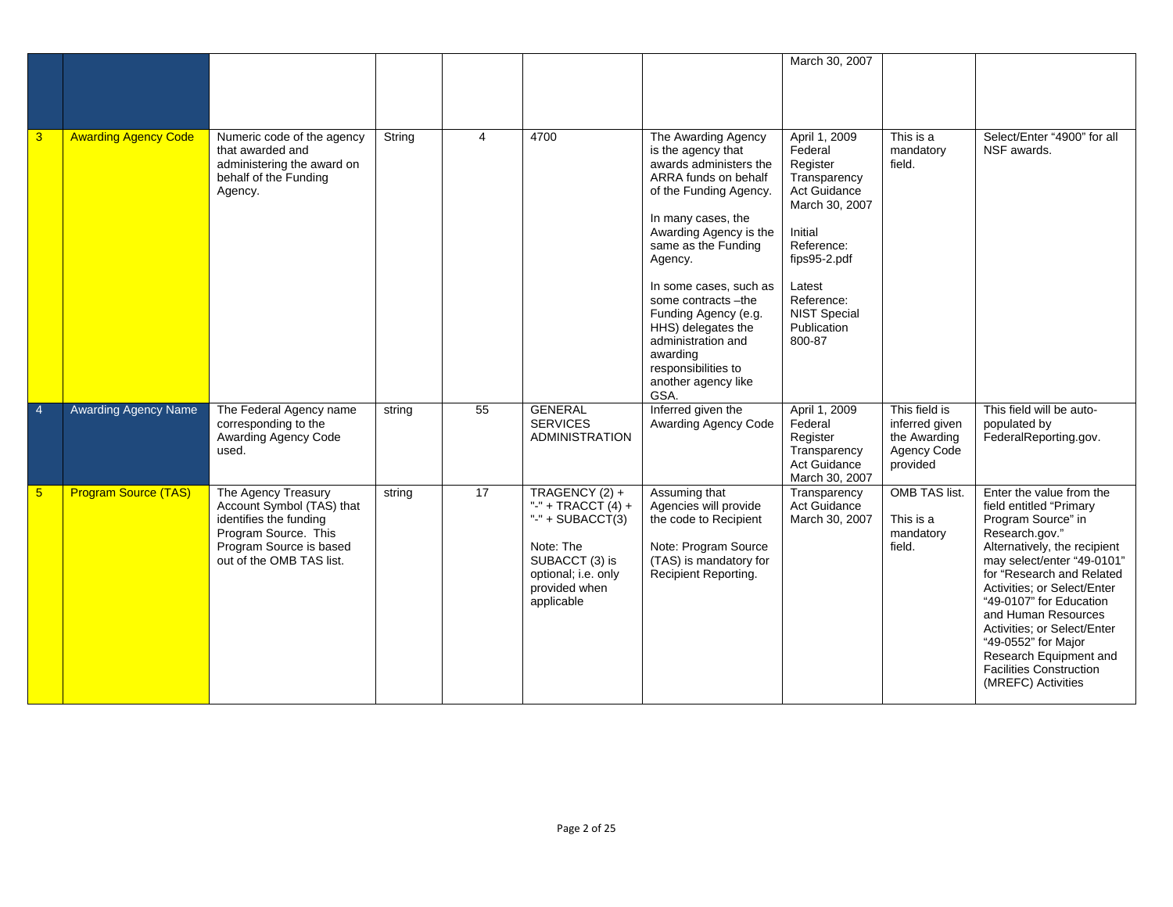|                |                             |                                                                                                                                                           |        |                 |                                                                                                                                                 |                                                                                                                                                                                                                                                                                                                                                                                                 | March 30, 2007                                                                                                                                                                                          |                                                                            |                                                                                                                                                                                                                                                                                                                                                                                                                 |
|----------------|-----------------------------|-----------------------------------------------------------------------------------------------------------------------------------------------------------|--------|-----------------|-------------------------------------------------------------------------------------------------------------------------------------------------|-------------------------------------------------------------------------------------------------------------------------------------------------------------------------------------------------------------------------------------------------------------------------------------------------------------------------------------------------------------------------------------------------|---------------------------------------------------------------------------------------------------------------------------------------------------------------------------------------------------------|----------------------------------------------------------------------------|-----------------------------------------------------------------------------------------------------------------------------------------------------------------------------------------------------------------------------------------------------------------------------------------------------------------------------------------------------------------------------------------------------------------|
| 3 <sup>5</sup> | <b>Awarding Agency Code</b> | Numeric code of the agency<br>that awarded and<br>administering the award on<br>behalf of the Funding<br>Agency.                                          | String | $\overline{4}$  | 4700                                                                                                                                            | The Awarding Agency<br>is the agency that<br>awards administers the<br>ARRA funds on behalf<br>of the Funding Agency.<br>In many cases, the<br>Awarding Agency is the<br>same as the Funding<br>Agency.<br>In some cases, such as<br>some contracts - the<br>Funding Agency (e.g.<br>HHS) delegates the<br>administration and<br>awarding<br>responsibilities to<br>another agency like<br>GSA. | April 1, 2009<br>Federal<br>Register<br>Transparency<br>Act Guidance<br>March 30, 2007<br>Initial<br>Reference:<br>fips95-2.pdf<br>Latest<br>Reference:<br><b>NIST Special</b><br>Publication<br>800-87 | This is a<br>mandatory<br>field.                                           | Select/Enter "4900" for all<br>NSF awards.                                                                                                                                                                                                                                                                                                                                                                      |
| $\overline{4}$ | <b>Awarding Agency Name</b> | The Federal Agency name<br>corresponding to the<br><b>Awarding Agency Code</b><br>used.                                                                   | string | 55              | <b>GENERAL</b><br><b>SERVICES</b><br><b>ADMINISTRATION</b>                                                                                      | Inferred given the<br>Awarding Agency Code                                                                                                                                                                                                                                                                                                                                                      | April 1, 2009<br>Federal<br>Register<br>Transparency<br>Act Guidance<br>March 30, 2007                                                                                                                  | This field is<br>inferred given<br>the Awarding<br>Agency Code<br>provided | This field will be auto-<br>populated by<br>FederalReporting.gov.                                                                                                                                                                                                                                                                                                                                               |
| 5 <sup>5</sup> | <b>Program Source (TAS)</b> | The Agency Treasury<br>Account Symbol (TAS) that<br>identifies the funding<br>Program Source. This<br>Program Source is based<br>out of the OMB TAS list. | string | $\overline{17}$ | TRAGENCY (2) +<br>"-" + TRACCT $(4)$ +<br>"-" + SUBACCT(3)<br>Note: The<br>SUBACCT (3) is<br>optional; i.e. only<br>provided when<br>applicable | Assuming that<br>Agencies will provide<br>the code to Recipient<br>Note: Program Source<br>(TAS) is mandatory for<br>Recipient Reporting.                                                                                                                                                                                                                                                       | Transparency<br>Act Guidance<br>March 30, 2007                                                                                                                                                          | <b>OMB TAS list.</b><br>This is a<br>mandatory<br>field.                   | Enter the value from the<br>field entitled "Primary<br>Program Source" in<br>Research.gov."<br>Alternatively, the recipient<br>may select/enter "49-0101"<br>for "Research and Related<br>Activities; or Select/Enter<br>"49-0107" for Education<br>and Human Resources<br>Activities; or Select/Enter<br>"49-0552" for Major<br>Research Equipment and<br><b>Facilities Construction</b><br>(MREFC) Activities |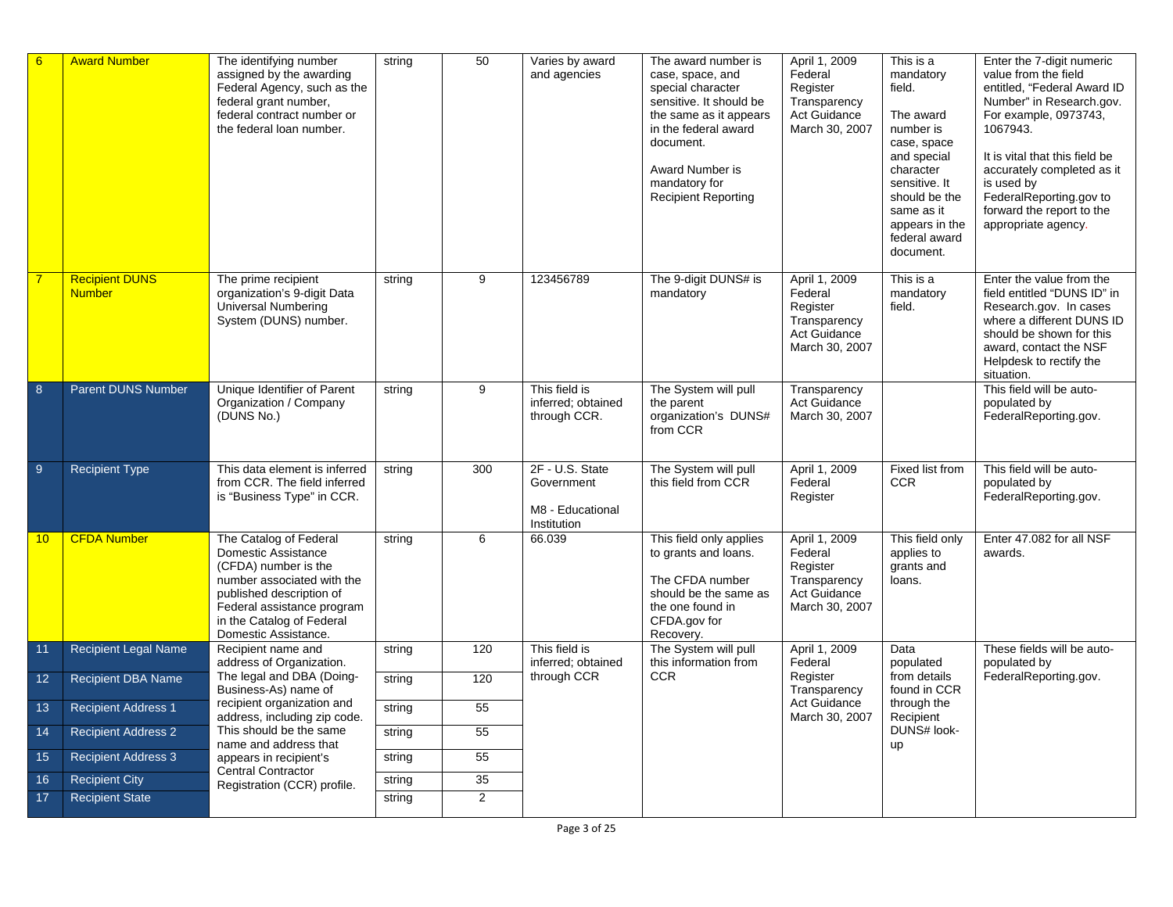| 6              | <b>Award Number</b>                    | The identifying number<br>assigned by the awarding<br>Federal Agency, such as the<br>federal grant number,<br>federal contract number or<br>the federal loan number.                                               | string | 50  | Varies by award<br>and agencies                                  | The award number is<br>case, space, and<br>special character<br>sensitive. It should be<br>the same as it appears<br>in the federal award<br>document.<br>Award Number is<br>mandatory for<br><b>Recipient Reporting</b> | April 1, 2009<br>Federal<br>Register<br>Transparency<br>Act Guidance<br>March 30, 2007 | This is a<br>mandatory<br>field.<br>The award<br>number is<br>case, space<br>and special<br>character<br>sensitive. It<br>should be the<br>same as it<br>appears in the<br>federal award<br>document. | Enter the 7-digit numeric<br>value from the field<br>entitled, "Federal Award ID<br>Number" in Research.gov.<br>For example, 0973743,<br>1067943.<br>It is vital that this field be<br>accurately completed as it<br>is used by<br>FederalReporting.gov to<br>forward the report to the<br>appropriate agency. |
|----------------|----------------------------------------|--------------------------------------------------------------------------------------------------------------------------------------------------------------------------------------------------------------------|--------|-----|------------------------------------------------------------------|--------------------------------------------------------------------------------------------------------------------------------------------------------------------------------------------------------------------------|----------------------------------------------------------------------------------------|-------------------------------------------------------------------------------------------------------------------------------------------------------------------------------------------------------|----------------------------------------------------------------------------------------------------------------------------------------------------------------------------------------------------------------------------------------------------------------------------------------------------------------|
| $\overline{7}$ | <b>Recipient DUNS</b><br><b>Number</b> | The prime recipient<br>organization's 9-digit Data<br>Universal Numbering<br>System (DUNS) number.                                                                                                                 | string | 9   | 123456789                                                        | The 9-digit DUNS# is<br>mandatory                                                                                                                                                                                        | April 1, 2009<br>Federal<br>Register<br>Transparency<br>Act Guidance<br>March 30, 2007 | This is a<br>mandatory<br>field.                                                                                                                                                                      | Enter the value from the<br>field entitled "DUNS ID" in<br>Research.gov. In cases<br>where a different DUNS ID<br>should be shown for this<br>award, contact the NSF<br>Helpdesk to rectify the<br>situation.                                                                                                  |
| 8              | Parent DUNS Number                     | Unique Identifier of Parent<br>Organization / Company<br>(DUNS No.)                                                                                                                                                | string | 9   | This field is<br>inferred; obtained<br>through CCR.              | The System will pull<br>the parent<br>organization's DUNS#<br>from CCR                                                                                                                                                   | Transparency<br>Act Guidance<br>March 30, 2007                                         |                                                                                                                                                                                                       | This field will be auto-<br>populated by<br>FederalReporting.gov.                                                                                                                                                                                                                                              |
| $9\,$          | <b>Recipient Type</b>                  | This data element is inferred<br>from CCR. The field inferred<br>is "Business Type" in CCR.                                                                                                                        | string | 300 | 2F - U.S. State<br>Government<br>M8 - Educational<br>Institution | The System will pull<br>this field from CCR                                                                                                                                                                              | April 1, 2009<br>Federal<br>Register                                                   | Fixed list from<br><b>CCR</b>                                                                                                                                                                         | This field will be auto-<br>populated by<br>FederalReporting.gov.                                                                                                                                                                                                                                              |
| 10             | <b>CFDA Number</b>                     | The Catalog of Federal<br>Domestic Assistance<br>(CFDA) number is the<br>number associated with the<br>published description of<br>Federal assistance program<br>in the Catalog of Federal<br>Domestic Assistance. | string | 6   | 66.039                                                           | This field only applies<br>to grants and loans.<br>The CFDA number<br>should be the same as<br>the one found in<br>CFDA.gov for<br>Recovery.                                                                             | April 1, 2009<br>Federal<br>Register<br>Transparency<br>Act Guidance<br>March 30, 2007 | This field only<br>applies to<br>grants and<br>loans.                                                                                                                                                 | Enter 47.082 for all NSF<br>awards.                                                                                                                                                                                                                                                                            |
| 11             | <b>Recipient Legal Name</b>            | Recipient name and<br>address of Organization.                                                                                                                                                                     | string | 120 | This field is<br>inferred; obtained                              | The System will pull<br>this information from                                                                                                                                                                            | April 1, 2009<br>Federal                                                               | Data<br>populated                                                                                                                                                                                     | These fields will be auto-<br>populated by                                                                                                                                                                                                                                                                     |
| 12             | <b>Recipient DBA Name</b>              | The legal and DBA (Doing-<br>Business-As) name of                                                                                                                                                                  | string | 120 | through CCR                                                      | <b>CCR</b>                                                                                                                                                                                                               | Register<br>Transparency                                                               | from details<br>found in CCR                                                                                                                                                                          | FederalReporting.gov.                                                                                                                                                                                                                                                                                          |
| 13             | <b>Recipient Address 1</b>             | recipient organization and<br>address, including zip code.                                                                                                                                                         | string | 55  |                                                                  |                                                                                                                                                                                                                          | Act Guidance<br>March 30, 2007                                                         | through the<br>Recipient                                                                                                                                                                              |                                                                                                                                                                                                                                                                                                                |
| 14             | <b>Recipient Address 2</b>             | This should be the same<br>name and address that                                                                                                                                                                   | string | 55  |                                                                  |                                                                                                                                                                                                                          |                                                                                        | DUNS# look-<br>up                                                                                                                                                                                     |                                                                                                                                                                                                                                                                                                                |
| 15             | <b>Recipient Address 3</b>             | appears in recipient's<br><b>Central Contractor</b>                                                                                                                                                                | string | 55  |                                                                  |                                                                                                                                                                                                                          |                                                                                        |                                                                                                                                                                                                       |                                                                                                                                                                                                                                                                                                                |
| 16             | <b>Recipient City</b>                  | Registration (CCR) profile.                                                                                                                                                                                        | string | 35  |                                                                  |                                                                                                                                                                                                                          |                                                                                        |                                                                                                                                                                                                       |                                                                                                                                                                                                                                                                                                                |
| 17             | <b>Recipient State</b>                 |                                                                                                                                                                                                                    | string | 2   |                                                                  |                                                                                                                                                                                                                          |                                                                                        |                                                                                                                                                                                                       |                                                                                                                                                                                                                                                                                                                |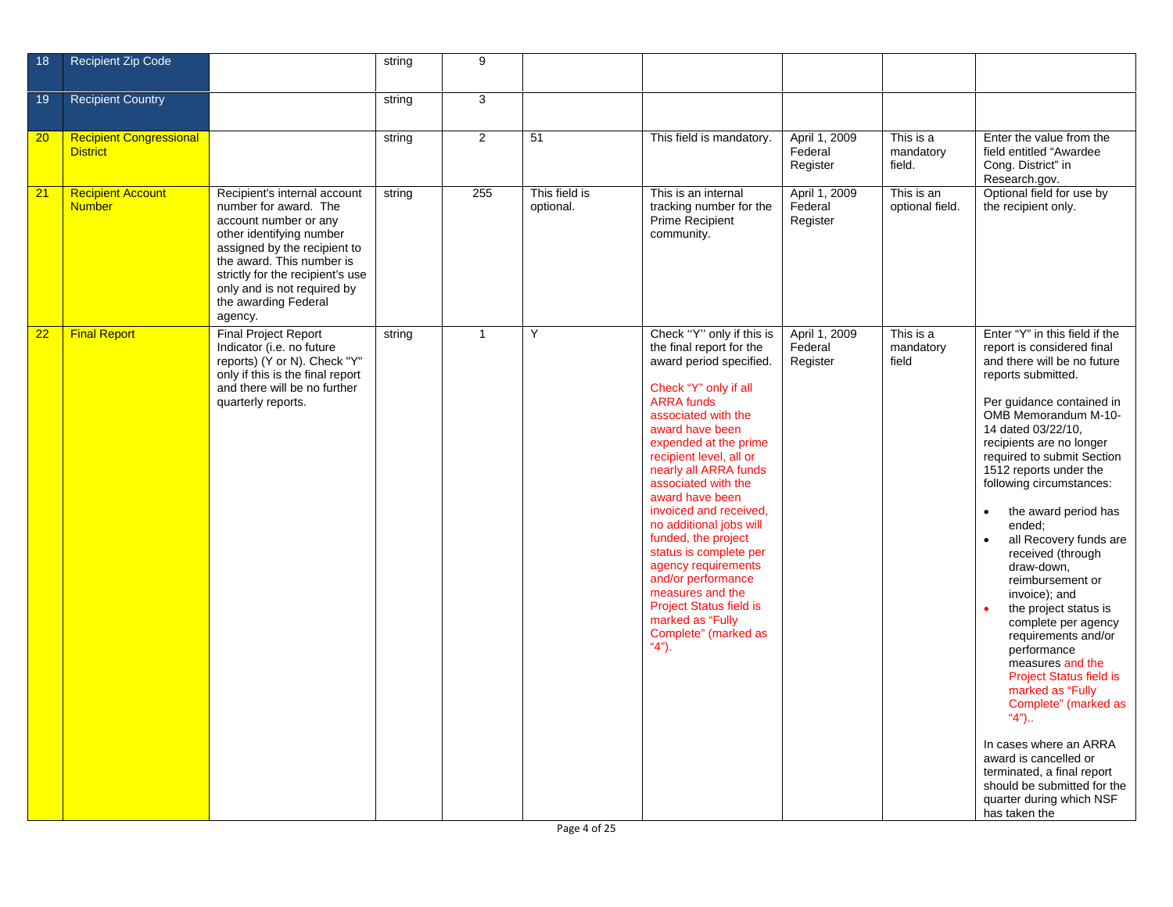| 18              | <b>Recipient Zip Code</b>                         |                                                                                                                                                                                                                                                                               | string | 9              |                            |                                                                                                                                                                                                                                                                                                                                                                                                                                                                                                                                                                   |                                      |                                  |                                                                                                                                                                                                                                                                                                                                                                                                                                                                                                                                                                                                                                                                                                                                                                                                                                                        |
|-----------------|---------------------------------------------------|-------------------------------------------------------------------------------------------------------------------------------------------------------------------------------------------------------------------------------------------------------------------------------|--------|----------------|----------------------------|-------------------------------------------------------------------------------------------------------------------------------------------------------------------------------------------------------------------------------------------------------------------------------------------------------------------------------------------------------------------------------------------------------------------------------------------------------------------------------------------------------------------------------------------------------------------|--------------------------------------|----------------------------------|--------------------------------------------------------------------------------------------------------------------------------------------------------------------------------------------------------------------------------------------------------------------------------------------------------------------------------------------------------------------------------------------------------------------------------------------------------------------------------------------------------------------------------------------------------------------------------------------------------------------------------------------------------------------------------------------------------------------------------------------------------------------------------------------------------------------------------------------------------|
| 19              | <b>Recipient Country</b>                          |                                                                                                                                                                                                                                                                               | string | $\mathbf{3}$   |                            |                                                                                                                                                                                                                                                                                                                                                                                                                                                                                                                                                                   |                                      |                                  |                                                                                                                                                                                                                                                                                                                                                                                                                                                                                                                                                                                                                                                                                                                                                                                                                                                        |
| 20              | <b>Recipient Congressional</b><br><b>District</b> |                                                                                                                                                                                                                                                                               | string | $\overline{2}$ | 51                         | This field is mandatory.                                                                                                                                                                                                                                                                                                                                                                                                                                                                                                                                          | April 1, 2009<br>Federal<br>Register | This is a<br>mandatory<br>field. | Enter the value from the<br>field entitled "Awardee<br>Cong. District" in<br>Research.gov.                                                                                                                                                                                                                                                                                                                                                                                                                                                                                                                                                                                                                                                                                                                                                             |
| 21              | <b>Recipient Account</b><br><b>Number</b>         | Recipient's internal account<br>number for award. The<br>account number or any<br>other identifying number<br>assigned by the recipient to<br>the award. This number is<br>strictly for the recipient's use<br>only and is not required by<br>the awarding Federal<br>agency. | string | 255            | This field is<br>optional. | This is an internal<br>tracking number for the<br><b>Prime Recipient</b><br>community.                                                                                                                                                                                                                                                                                                                                                                                                                                                                            | April 1, 2009<br>Federal<br>Register | This is an<br>optional field.    | Optional field for use by<br>the recipient only.                                                                                                                                                                                                                                                                                                                                                                                                                                                                                                                                                                                                                                                                                                                                                                                                       |
| $\overline{22}$ | <b>Final Report</b>                               | <b>Final Project Report</b><br>Indicator (i.e. no future<br>reports) (Y or N). Check "Y"<br>only if this is the final report<br>and there will be no further<br>quarterly reports.                                                                                            | string | $\mathbf{1}$   | Y                          | Check "Y" only if this is<br>the final report for the<br>award period specified.<br>Check "Y" only if all<br><b>ARRA</b> funds<br>associated with the<br>award have been<br>expended at the prime<br>recipient level, all or<br>nearly all ARRA funds<br>associated with the<br>award have been<br>invoiced and received,<br>no additional jobs will<br>funded, the project<br>status is complete per<br>agency requirements<br>and/or performance<br>measures and the<br><b>Project Status field is</b><br>marked as "Fully<br>Complete" (marked as<br>" $4$ "). | April 1, 2009<br>Federal<br>Register | This is a<br>mandatory<br>field  | Enter "Y" in this field if the<br>report is considered final<br>and there will be no future<br>reports submitted.<br>Per guidance contained in<br>OMB Memorandum M-10-<br>14 dated 03/22/10.<br>recipients are no longer<br>required to submit Section<br>1512 reports under the<br>following circumstances:<br>the award period has<br>$\bullet$<br>ended;<br>all Recovery funds are<br>$\bullet$<br>received (through<br>draw-down,<br>reimbursement or<br>invoice); and<br>the project status is<br>$\bullet$<br>complete per agency<br>requirements and/or<br>performance<br>measures and the<br><b>Project Status field is</b><br>marked as "Fully<br>Complete" (marked as<br>$(4")$<br>In cases where an ARRA<br>award is cancelled or<br>terminated, a final report<br>should be submitted for the<br>quarter during which NSF<br>has taken the |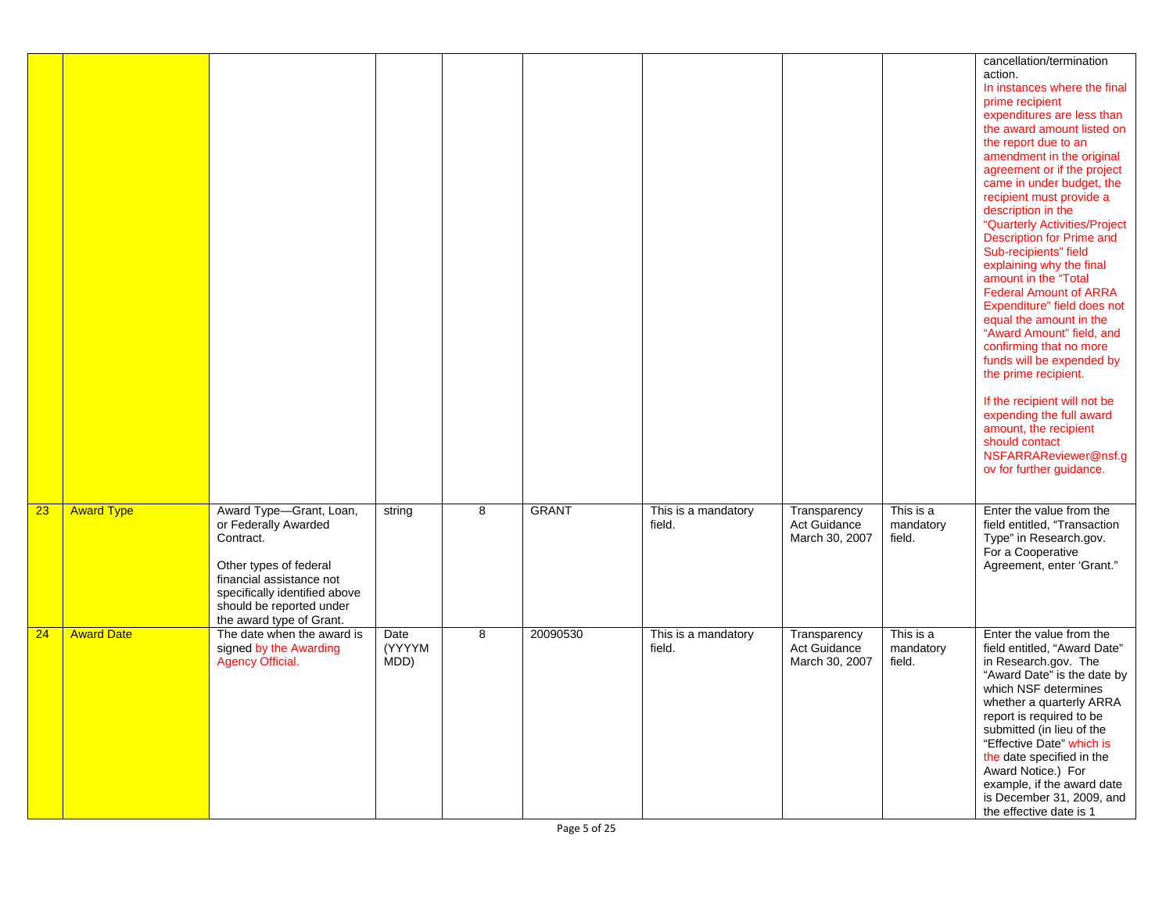|    |                   |                                                                                                                                                                                                             |                        |   |              |                               |                                                |                                  | cancellation/termination<br>action.<br>In instances where the final<br>prime recipient<br>expenditures are less than<br>the award amount listed on<br>the report due to an<br>amendment in the original<br>agreement or if the project<br>came in under budget, the<br>recipient must provide a<br>description in the<br>"Quarterly Activities/Project<br>Description for Prime and<br>Sub-recipients" field<br>explaining why the final<br>amount in the "Total<br><b>Federal Amount of ARRA</b><br>Expenditure" field does not<br>equal the amount in the<br>"Award Amount" field, and<br>confirming that no more<br>funds will be expended by<br>the prime recipient.<br>If the recipient will not be<br>expending the full award<br>amount, the recipient<br>should contact<br>NSFARRAReviewer@nsf.g<br>ov for further guidance. |
|----|-------------------|-------------------------------------------------------------------------------------------------------------------------------------------------------------------------------------------------------------|------------------------|---|--------------|-------------------------------|------------------------------------------------|----------------------------------|--------------------------------------------------------------------------------------------------------------------------------------------------------------------------------------------------------------------------------------------------------------------------------------------------------------------------------------------------------------------------------------------------------------------------------------------------------------------------------------------------------------------------------------------------------------------------------------------------------------------------------------------------------------------------------------------------------------------------------------------------------------------------------------------------------------------------------------|
| 23 | <b>Award Type</b> | Award Type-Grant, Loan,<br>or Federally Awarded<br>Contract.<br>Other types of federal<br>financial assistance not<br>specifically identified above<br>should be reported under<br>the award type of Grant. | string                 | 8 | <b>GRANT</b> | This is a mandatory<br>field. | Transparency<br>Act Guidance<br>March 30, 2007 | This is a<br>mandatory<br>field. | Enter the value from the<br>field entitled, "Transaction<br>Type" in Research.gov.<br>For a Cooperative<br>Agreement, enter 'Grant."                                                                                                                                                                                                                                                                                                                                                                                                                                                                                                                                                                                                                                                                                                 |
| 24 | <b>Award Date</b> | The date when the award is<br>signed by the Awarding<br><b>Agency Official.</b>                                                                                                                             | Date<br>(YYYYM<br>MDD) | 8 | 20090530     | This is a mandatory<br>field. | Transparency<br>Act Guidance<br>March 30, 2007 | This is a<br>mandatory<br>field. | Enter the value from the<br>field entitled, "Award Date"<br>in Research.gov. The<br>"Award Date" is the date by<br>which NSF determines<br>whether a quarterly ARRA<br>report is required to be<br>submitted (in lieu of the<br>"Effective Date" which is<br>the date specified in the<br>Award Notice.) For<br>example, if the award date<br>is December 31, 2009, and<br>the effective date is 1                                                                                                                                                                                                                                                                                                                                                                                                                                   |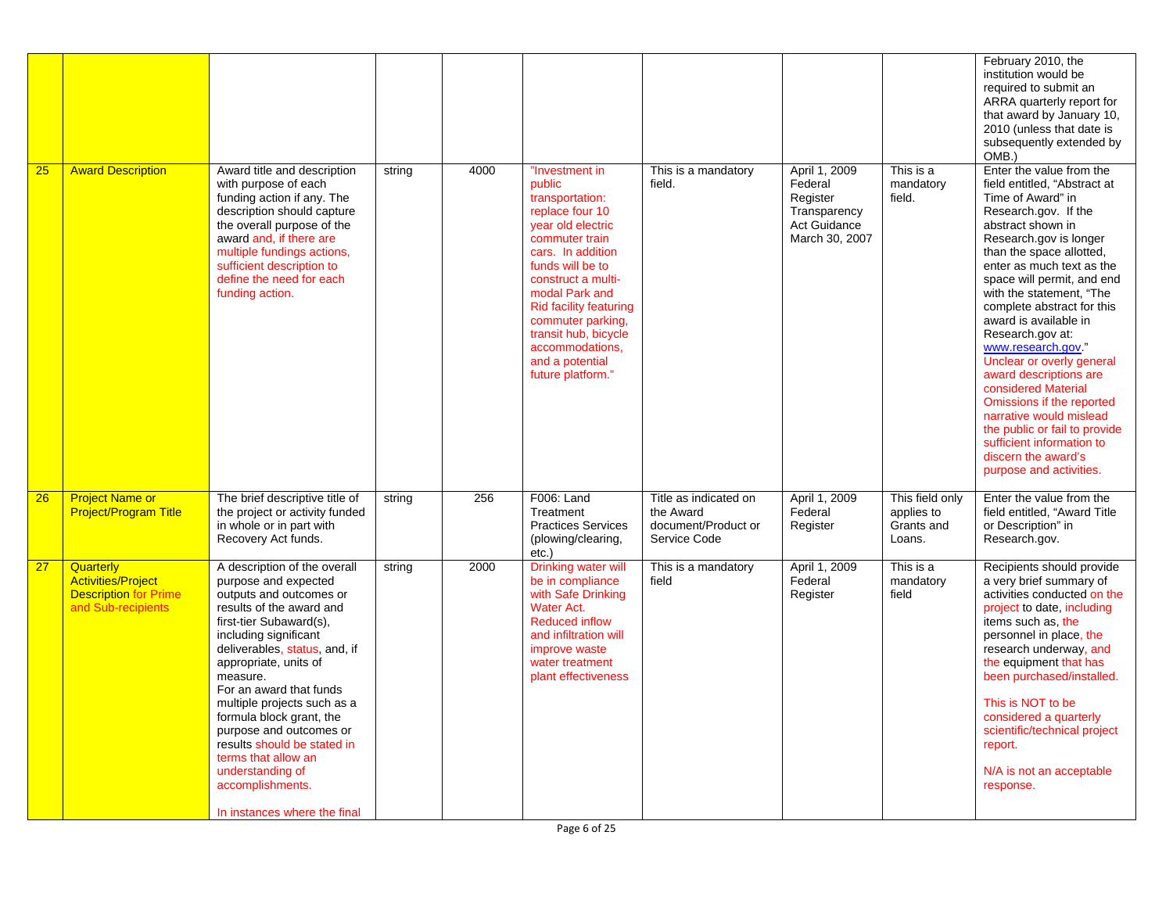|    |                                                                                              |                                                                                                                                                                                                                                                                                                                                                                                                                                                                                      |        |      |                                                                                                                                                                                                                                                                                                                                 |                                                                           |                                                                                        |                                                       | February 2010, the<br>institution would be<br>required to submit an<br>ARRA quarterly report for<br>that award by January 10,<br>2010 (unless that date is<br>subsequently extended by<br>OMB.)                                                                                                                                                                                                                                                                                                                                                                                                                                |
|----|----------------------------------------------------------------------------------------------|--------------------------------------------------------------------------------------------------------------------------------------------------------------------------------------------------------------------------------------------------------------------------------------------------------------------------------------------------------------------------------------------------------------------------------------------------------------------------------------|--------|------|---------------------------------------------------------------------------------------------------------------------------------------------------------------------------------------------------------------------------------------------------------------------------------------------------------------------------------|---------------------------------------------------------------------------|----------------------------------------------------------------------------------------|-------------------------------------------------------|--------------------------------------------------------------------------------------------------------------------------------------------------------------------------------------------------------------------------------------------------------------------------------------------------------------------------------------------------------------------------------------------------------------------------------------------------------------------------------------------------------------------------------------------------------------------------------------------------------------------------------|
| 25 | <b>Award Description</b>                                                                     | Award title and description<br>with purpose of each<br>funding action if any. The<br>description should capture<br>the overall purpose of the<br>award and, if there are<br>multiple fundings actions,<br>sufficient description to<br>define the need for each<br>funding action.                                                                                                                                                                                                   | string | 4000 | "Investment in<br>public<br>transportation:<br>replace four 10<br>year old electric<br>commuter train<br>cars. In addition<br>funds will be to<br>construct a multi-<br>modal Park and<br><b>Rid facility featuring</b><br>commuter parking,<br>transit hub, bicycle<br>accommodations,<br>and a potential<br>future platform." | This is a mandatory<br>field.                                             | April 1, 2009<br>Federal<br>Register<br>Transparency<br>Act Guidance<br>March 30, 2007 | This is a<br>mandatory<br>field.                      | Enter the value from the<br>field entitled, "Abstract at<br>Time of Award" in<br>Research.gov. If the<br>abstract shown in<br>Research.gov is longer<br>than the space allotted,<br>enter as much text as the<br>space will permit, and end<br>with the statement, "The<br>complete abstract for this<br>award is available in<br>Research.gov at:<br>www.research.gov."<br>Unclear or overly general<br>award descriptions are<br>considered Material<br>Omissions if the reported<br>narrative would mislead<br>the public or fail to provide<br>sufficient information to<br>discern the award's<br>purpose and activities. |
| 26 | <b>Project Name or</b><br><b>Project/Program Title</b>                                       | The brief descriptive title of<br>the project or activity funded<br>in whole or in part with<br>Recovery Act funds.                                                                                                                                                                                                                                                                                                                                                                  | string | 256  | F006: Land<br>Treatment<br><b>Practices Services</b><br>(plowing/clearing,<br>$etc.$ )                                                                                                                                                                                                                                          | Title as indicated on<br>the Award<br>document/Product or<br>Service Code | April 1, 2009<br>Federal<br>Register                                                   | This field only<br>applies to<br>Grants and<br>Loans. | Enter the value from the<br>field entitled, "Award Title<br>or Description" in<br>Research.gov.                                                                                                                                                                                                                                                                                                                                                                                                                                                                                                                                |
| 27 | Quarterly<br><b>Activities/Project</b><br><b>Description for Prime</b><br>and Sub-recipients | A description of the overall<br>purpose and expected<br>outputs and outcomes or<br>results of the award and<br>first-tier Subaward(s),<br>including significant<br>deliverables, status, and, if<br>appropriate, units of<br>measure.<br>For an award that funds<br>multiple projects such as a<br>formula block grant, the<br>purpose and outcomes or<br>results should be stated in<br>terms that allow an<br>understanding of<br>accomplishments.<br>In instances where the final | string | 2000 | Drinking water will<br>be in compliance<br>with Safe Drinking<br>Water Act.<br><b>Reduced inflow</b><br>and infiltration will<br>improve waste<br>water treatment<br>plant effectiveness                                                                                                                                        | This is a mandatory<br>field                                              | April 1, 2009<br>Federal<br>Register                                                   | This is a<br>mandatory<br>field                       | Recipients should provide<br>a very brief summary of<br>activities conducted on the<br>project to date, including<br>items such as, the<br>personnel in place, the<br>research underway, and<br>the equipment that has<br>been purchased/installed.<br>This is NOT to be<br>considered a quarterly<br>scientific/technical project<br>report.<br>N/A is not an acceptable<br>response.                                                                                                                                                                                                                                         |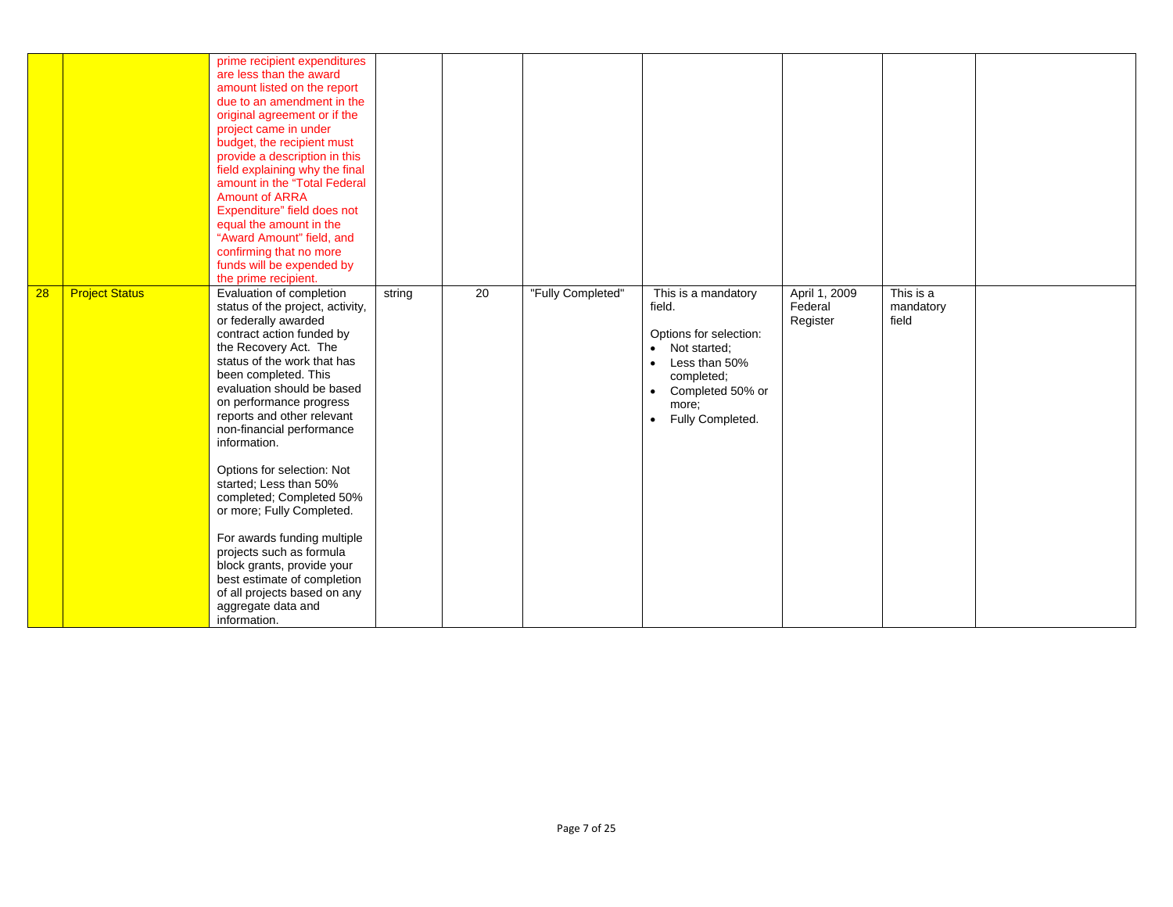|    |                       | prime recipient expenditures<br>are less than the award<br>amount listed on the report<br>due to an amendment in the<br>original agreement or if the<br>project came in under<br>budget, the recipient must<br>provide a description in this<br>field explaining why the final<br>amount in the "Total Federal<br><b>Amount of ARRA</b><br>Expenditure" field does not<br>equal the amount in the<br>"Award Amount" field, and<br>confirming that no more<br>funds will be expended by<br>the prime recipient.                                                                                                                                       |        |                 |                   |                                                                                                                                                                                                |                                      |                                 |  |
|----|-----------------------|------------------------------------------------------------------------------------------------------------------------------------------------------------------------------------------------------------------------------------------------------------------------------------------------------------------------------------------------------------------------------------------------------------------------------------------------------------------------------------------------------------------------------------------------------------------------------------------------------------------------------------------------------|--------|-----------------|-------------------|------------------------------------------------------------------------------------------------------------------------------------------------------------------------------------------------|--------------------------------------|---------------------------------|--|
| 28 | <b>Project Status</b> | Evaluation of completion<br>status of the project, activity,<br>or federally awarded<br>contract action funded by<br>the Recovery Act. The<br>status of the work that has<br>been completed. This<br>evaluation should be based<br>on performance progress<br>reports and other relevant<br>non-financial performance<br>information.<br>Options for selection: Not<br>started; Less than 50%<br>completed; Completed 50%<br>or more; Fully Completed.<br>For awards funding multiple<br>projects such as formula<br>block grants, provide your<br>best estimate of completion<br>of all projects based on any<br>aggregate data and<br>information. | string | $\overline{20}$ | "Fully Completed" | This is a mandatory<br>field.<br>Options for selection:<br>Not started;<br>$\bullet$<br>Less than 50%<br>$\bullet$<br>completed;<br>Completed 50% or<br>more;<br>Fully Completed.<br>$\bullet$ | April 1, 2009<br>Federal<br>Register | This is a<br>mandatory<br>field |  |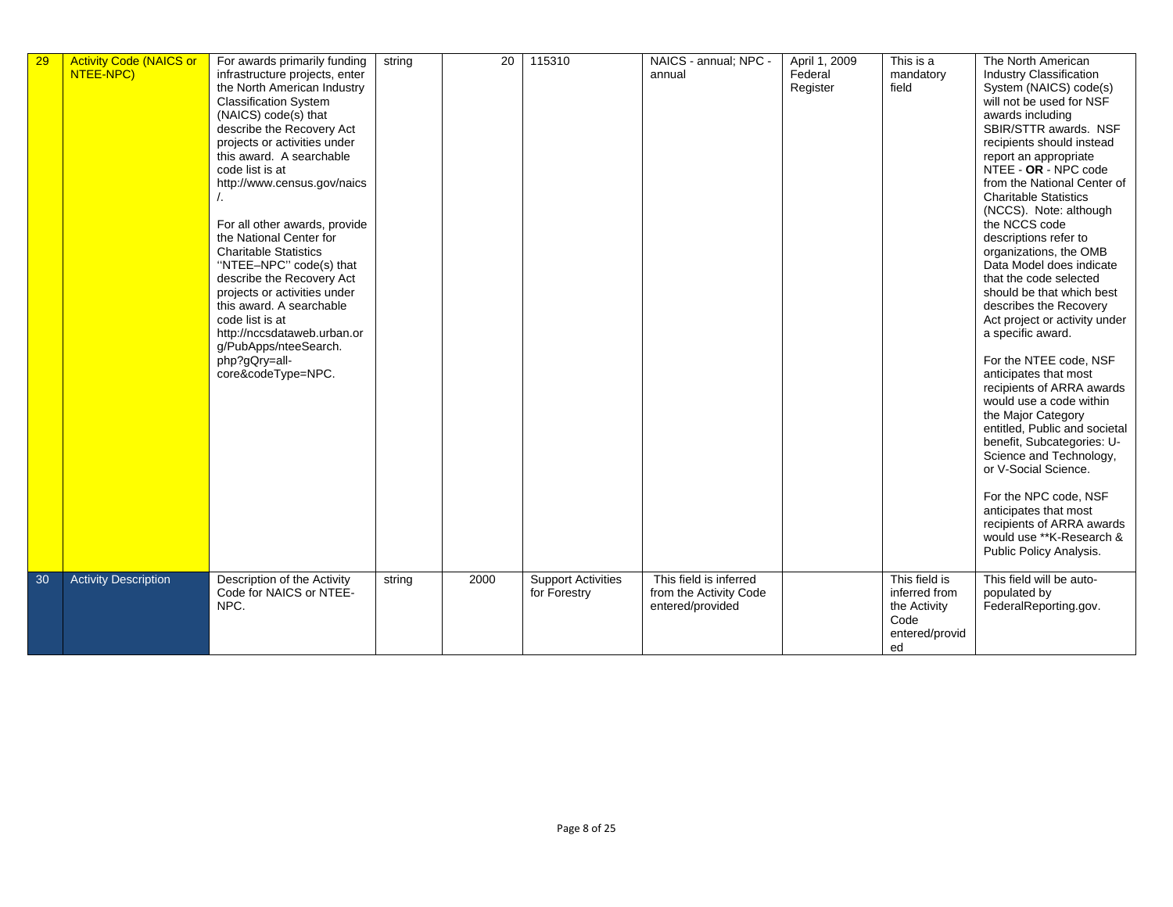| 29 | <b>Activity Code (NAICS or</b><br>NTEE-NPC) | For awards primarily funding<br>infrastructure projects, enter<br>the North American Industry<br><b>Classification System</b><br>(NAICS) code(s) that<br>describe the Recovery Act<br>projects or activities under<br>this award. A searchable<br>code list is at<br>http://www.census.gov/naics<br>$\frac{1}{2}$<br>For all other awards, provide<br>the National Center for<br><b>Charitable Statistics</b><br>"NTEE-NPC" code(s) that<br>describe the Recovery Act<br>projects or activities under<br>this award. A searchable<br>code list is at<br>http://nccsdataweb.urban.or<br>g/PubApps/nteeSearch.<br>php?gQry=all-<br>core&codeType=NPC. | string | 20   | 115310                                    | NAICS - annual; NPC -<br>annual                                      | April 1, 2009<br>Federal<br>Register | This is a<br>mandatory<br>field                                                | The North American<br>Industry Classification<br>System (NAICS) code(s)<br>will not be used for NSF<br>awards including<br>SBIR/STTR awards. NSF<br>recipients should instead<br>report an appropriate<br>NTEE - OR - NPC code<br>from the National Center of<br><b>Charitable Statistics</b><br>(NCCS). Note: although<br>the NCCS code<br>descriptions refer to<br>organizations, the OMB<br>Data Model does indicate<br>that the code selected<br>should be that which best<br>describes the Recovery<br>Act project or activity under<br>a specific award.<br>For the NTEE code, NSF<br>anticipates that most<br>recipients of ARRA awards<br>would use a code within<br>the Major Category<br>entitled, Public and societal<br>benefit, Subcategories: U-<br>Science and Technology,<br>or V-Social Science.<br>For the NPC code, NSF<br>anticipates that most<br>recipients of ARRA awards<br>would use **K-Research &<br>Public Policy Analysis. |
|----|---------------------------------------------|-----------------------------------------------------------------------------------------------------------------------------------------------------------------------------------------------------------------------------------------------------------------------------------------------------------------------------------------------------------------------------------------------------------------------------------------------------------------------------------------------------------------------------------------------------------------------------------------------------------------------------------------------------|--------|------|-------------------------------------------|----------------------------------------------------------------------|--------------------------------------|--------------------------------------------------------------------------------|---------------------------------------------------------------------------------------------------------------------------------------------------------------------------------------------------------------------------------------------------------------------------------------------------------------------------------------------------------------------------------------------------------------------------------------------------------------------------------------------------------------------------------------------------------------------------------------------------------------------------------------------------------------------------------------------------------------------------------------------------------------------------------------------------------------------------------------------------------------------------------------------------------------------------------------------------------|
| 30 | <b>Activity Description</b>                 | Description of the Activity<br>Code for NAICS or NTEE-<br>NPC.                                                                                                                                                                                                                                                                                                                                                                                                                                                                                                                                                                                      | string | 2000 | <b>Support Activities</b><br>for Forestry | This field is inferred<br>from the Activity Code<br>entered/provided |                                      | This field is<br>inferred from<br>the Activity<br>Code<br>entered/provid<br>ed | This field will be auto-<br>populated by<br>FederalReporting.gov.                                                                                                                                                                                                                                                                                                                                                                                                                                                                                                                                                                                                                                                                                                                                                                                                                                                                                       |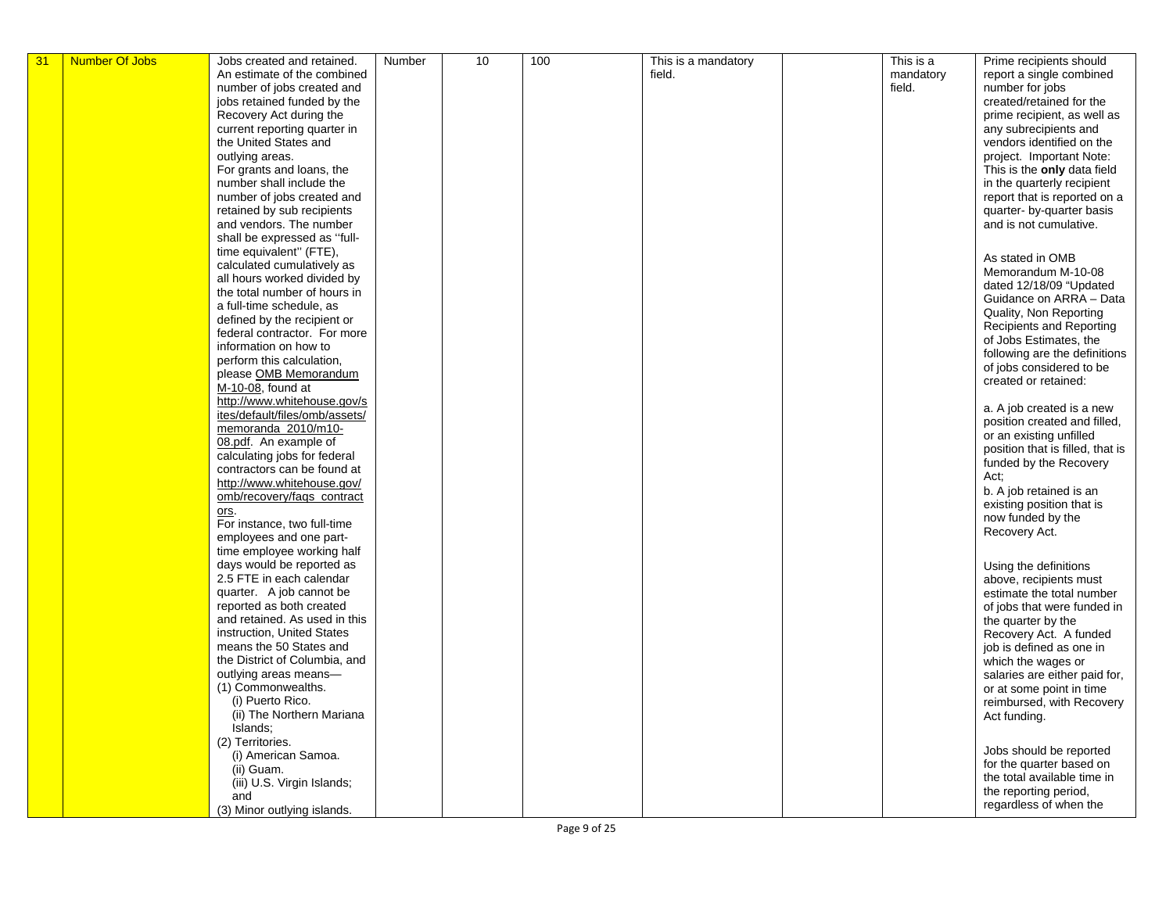| 31 | <b>Number Of Jobs</b> | Jobs created and retained.          | Number | 10 | 100 | This is a mandatory | This is a | Prime recipients should            |
|----|-----------------------|-------------------------------------|--------|----|-----|---------------------|-----------|------------------------------------|
|    |                       | An estimate of the combined         |        |    |     | field.              | mandatory | report a single combined           |
|    |                       | number of jobs created and          |        |    |     |                     | field.    | number for jobs                    |
|    |                       | jobs retained funded by the         |        |    |     |                     |           | created/retained for the           |
|    |                       | Recovery Act during the             |        |    |     |                     |           | prime recipient, as well as        |
|    |                       | current reporting quarter in        |        |    |     |                     |           | any subrecipients and              |
|    |                       | the United States and               |        |    |     |                     |           | vendors identified on the          |
|    |                       | outlying areas.                     |        |    |     |                     |           | project. Important Note:           |
|    |                       | For grants and loans, the           |        |    |     |                     |           | This is the <b>only</b> data field |
|    |                       | number shall include the            |        |    |     |                     |           | in the quarterly recipient         |
|    |                       | number of jobs created and          |        |    |     |                     |           | report that is reported on a       |
|    |                       | retained by sub recipients          |        |    |     |                     |           | quarter- by-quarter basis          |
|    |                       | and vendors. The number             |        |    |     |                     |           | and is not cumulative.             |
|    |                       | shall be expressed as "full-        |        |    |     |                     |           |                                    |
|    |                       | time equivalent" (FTE),             |        |    |     |                     |           | As stated in OMB                   |
|    |                       | calculated cumulatively as          |        |    |     |                     |           | Memorandum M-10-08                 |
|    |                       | all hours worked divided by         |        |    |     |                     |           | dated 12/18/09 "Updated            |
|    |                       | the total number of hours in        |        |    |     |                     |           | Guidance on ARRA - Data            |
|    |                       | a full-time schedule, as            |        |    |     |                     |           | Quality, Non Reporting             |
|    |                       | defined by the recipient or         |        |    |     |                     |           | Recipients and Reporting           |
|    |                       | federal contractor. For more        |        |    |     |                     |           | of Jobs Estimates, the             |
|    |                       | information on how to               |        |    |     |                     |           | following are the definitions      |
|    |                       | perform this calculation,           |        |    |     |                     |           | of jobs considered to be           |
|    |                       | please OMB Memorandum               |        |    |     |                     |           | created or retained:               |
|    |                       | M-10-08, found at                   |        |    |     |                     |           |                                    |
|    |                       | http://www.whitehouse.gov/s         |        |    |     |                     |           | a. A job created is a new          |
|    |                       | ites/default/files/omb/assets/      |        |    |     |                     |           | position created and filled,       |
|    |                       | memoranda_2010/m10-                 |        |    |     |                     |           | or an existing unfilled            |
|    |                       | 08.pdf. An example of               |        |    |     |                     |           | position that is filled, that is   |
|    |                       | calculating jobs for federal        |        |    |     |                     |           | funded by the Recovery             |
|    |                       | contractors can be found at         |        |    |     |                     |           | Act;                               |
|    |                       | http://www.whitehouse.gov/          |        |    |     |                     |           | b. A job retained is an            |
|    |                       | omb/recovery/faqs_contract          |        |    |     |                     |           | existing position that is          |
|    |                       | ors.<br>For instance, two full-time |        |    |     |                     |           | now funded by the                  |
|    |                       | employees and one part-             |        |    |     |                     |           | Recovery Act.                      |
|    |                       | time employee working half          |        |    |     |                     |           |                                    |
|    |                       | days would be reported as           |        |    |     |                     |           | Using the definitions              |
|    |                       | 2.5 FTE in each calendar            |        |    |     |                     |           | above, recipients must             |
|    |                       | quarter. A job cannot be            |        |    |     |                     |           | estimate the total number          |
|    |                       | reported as both created            |        |    |     |                     |           | of jobs that were funded in        |
|    |                       | and retained. As used in this       |        |    |     |                     |           | the quarter by the                 |
|    |                       | instruction, United States          |        |    |     |                     |           | Recovery Act. A funded             |
|    |                       | means the 50 States and             |        |    |     |                     |           | job is defined as one in           |
|    |                       | the District of Columbia, and       |        |    |     |                     |           | which the wages or                 |
|    |                       | outlying areas means-               |        |    |     |                     |           | salaries are either paid for,      |
|    |                       | (1) Commonwealths.                  |        |    |     |                     |           | or at some point in time           |
|    |                       | (i) Puerto Rico.                    |        |    |     |                     |           | reimbursed, with Recovery          |
|    |                       | (ii) The Northern Mariana           |        |    |     |                     |           | Act funding.                       |
|    |                       | Islands:                            |        |    |     |                     |           |                                    |
|    |                       | (2) Territories.                    |        |    |     |                     |           |                                    |
|    |                       | (i) American Samoa.                 |        |    |     |                     |           | Jobs should be reported            |
|    |                       | (ii) Guam.                          |        |    |     |                     |           | for the quarter based on           |
|    |                       | (iii) U.S. Virgin Islands;          |        |    |     |                     |           | the total available time in        |
|    |                       | and                                 |        |    |     |                     |           | the reporting period,              |
|    |                       | (3) Minor outlying islands.         |        |    |     |                     |           | regardless of when the             |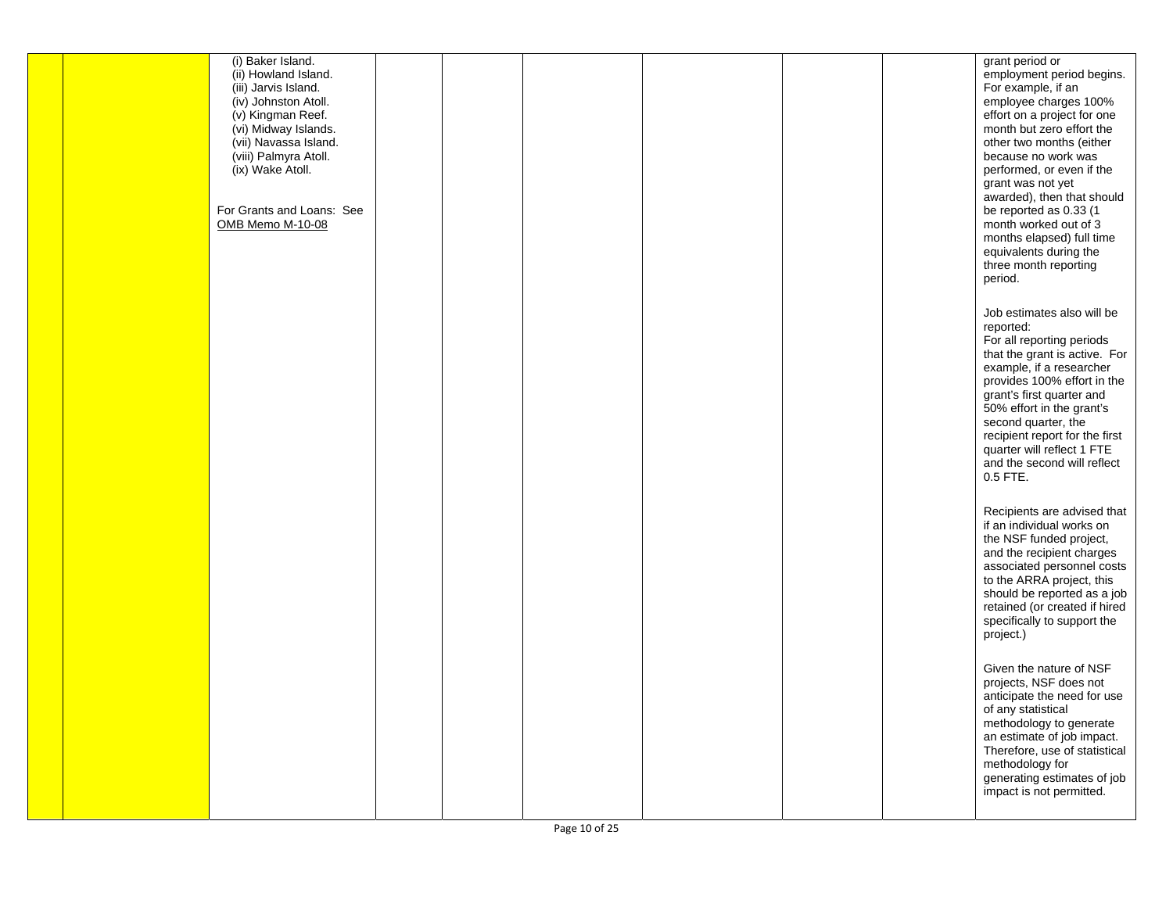|  | (i) Baker Island.<br>(ii) Howland Island.<br>(iii) Jarvis Island.<br>(iv) Johnston Atoll.<br>(v) Kingman Reef.<br>(vi) Midway Islands.<br>(vii) Navassa Island.<br>(viii) Palmyra Atoll.<br>(ix) Wake Atoll.<br>For Grants and Loans: See<br>OMB Memo M-10-08 |  |  |  | grant period or<br>employment period begins.<br>For example, if an<br>employee charges 100%<br>effort on a project for one<br>month but zero effort the<br>other two months (either<br>because no work was<br>performed, or even if the<br>grant was not yet<br>awarded), then that should<br>be reported as 0.33 (1<br>month worked out of 3<br>months elapsed) full time<br>equivalents during the<br>three month reporting<br>period. |
|--|---------------------------------------------------------------------------------------------------------------------------------------------------------------------------------------------------------------------------------------------------------------|--|--|--|------------------------------------------------------------------------------------------------------------------------------------------------------------------------------------------------------------------------------------------------------------------------------------------------------------------------------------------------------------------------------------------------------------------------------------------|
|  |                                                                                                                                                                                                                                                               |  |  |  | Job estimates also will be<br>reported:<br>For all reporting periods<br>that the grant is active. For<br>example, if a researcher<br>provides 100% effort in the<br>grant's first quarter and<br>50% effort in the grant's<br>second quarter, the<br>recipient report for the first<br>quarter will reflect 1 FTE<br>and the second will reflect<br>0.5 FTE.                                                                             |
|  |                                                                                                                                                                                                                                                               |  |  |  | Recipients are advised that<br>if an individual works on<br>the NSF funded project,<br>and the recipient charges<br>associated personnel costs<br>to the ARRA project, this<br>should be reported as a job<br>retained (or created if hired<br>specifically to support the<br>project.)                                                                                                                                                  |
|  |                                                                                                                                                                                                                                                               |  |  |  | Given the nature of NSF<br>projects, NSF does not<br>anticipate the need for use<br>of any statistical<br>methodology to generate<br>an estimate of job impact.<br>Therefore, use of statistical<br>methodology for<br>generating estimates of job<br>impact is not permitted.                                                                                                                                                           |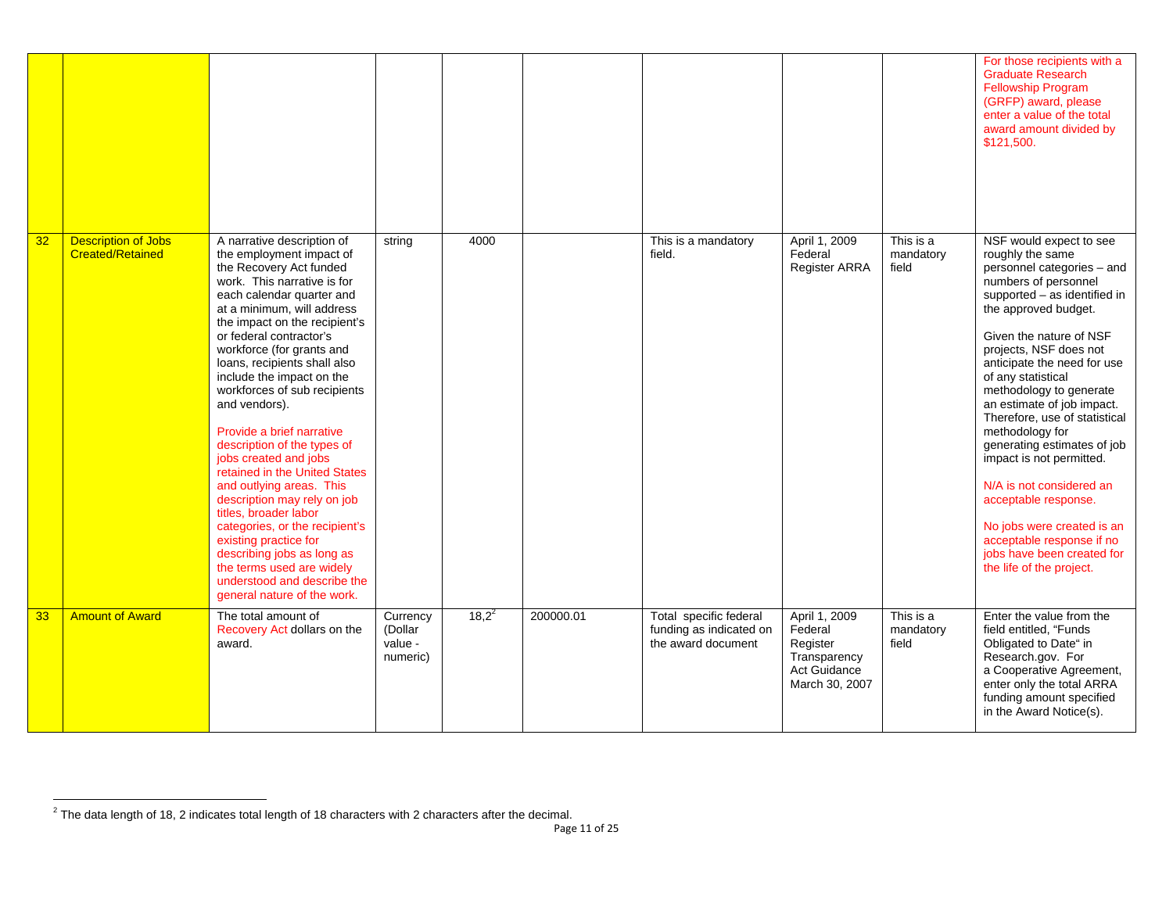|    |                                                       |                                                                                                                                                                                                                                                                                                                                                                                                                                                                                                                                                                                                                                                                                                                                                                                  |                                            |          |           |                                                                         |                                                                                        |                                 | For those recipients with a<br><b>Graduate Research</b><br><b>Fellowship Program</b><br>(GRFP) award, please<br>enter a value of the total<br>award amount divided by<br>\$121,500.                                                                                                                                                                                                                                                                                                                                                                                                                                  |
|----|-------------------------------------------------------|----------------------------------------------------------------------------------------------------------------------------------------------------------------------------------------------------------------------------------------------------------------------------------------------------------------------------------------------------------------------------------------------------------------------------------------------------------------------------------------------------------------------------------------------------------------------------------------------------------------------------------------------------------------------------------------------------------------------------------------------------------------------------------|--------------------------------------------|----------|-----------|-------------------------------------------------------------------------|----------------------------------------------------------------------------------------|---------------------------------|----------------------------------------------------------------------------------------------------------------------------------------------------------------------------------------------------------------------------------------------------------------------------------------------------------------------------------------------------------------------------------------------------------------------------------------------------------------------------------------------------------------------------------------------------------------------------------------------------------------------|
| 32 | <b>Description of Jobs</b><br><b>Created/Retained</b> | A narrative description of<br>the employment impact of<br>the Recovery Act funded<br>work. This narrative is for<br>each calendar quarter and<br>at a minimum, will address<br>the impact on the recipient's<br>or federal contractor's<br>workforce (for grants and<br>loans, recipients shall also<br>include the impact on the<br>workforces of sub recipients<br>and vendors).<br>Provide a brief narrative<br>description of the types of<br>jobs created and jobs<br>retained in the United States<br>and outlying areas. This<br>description may rely on job<br>titles, broader labor<br>categories, or the recipient's<br>existing practice for<br>describing jobs as long as<br>the terms used are widely<br>understood and describe the<br>general nature of the work. | string                                     | 4000     |           | This is a mandatory<br>field.                                           | April 1, 2009<br>Federal<br>Register ARRA                                              | This is a<br>mandatory<br>field | NSF would expect to see<br>roughly the same<br>personnel categories - and<br>numbers of personnel<br>supported - as identified in<br>the approved budget.<br>Given the nature of NSF<br>projects, NSF does not<br>anticipate the need for use<br>of any statistical<br>methodology to generate<br>an estimate of job impact.<br>Therefore, use of statistical<br>methodology for<br>generating estimates of job<br>impact is not permitted.<br>N/A is not considered an<br>acceptable response.<br>No jobs were created is an<br>acceptable response if no<br>jobs have been created for<br>the life of the project. |
| 33 | <b>Amount of Award</b>                                | The total amount of<br>Recovery Act dollars on the<br>award.                                                                                                                                                                                                                                                                                                                                                                                                                                                                                                                                                                                                                                                                                                                     | Currency<br>(Dollar<br>value -<br>numeric) | $18,2^2$ | 200000.01 | Total specific federal<br>funding as indicated on<br>the award document | April 1, 2009<br>Federal<br>Register<br>Transparency<br>Act Guidance<br>March 30, 2007 | This is a<br>mandatory<br>field | Enter the value from the<br>field entitled, "Funds<br>Obligated to Date" in<br>Research.gov. For<br>a Cooperative Agreement,<br>enter only the total ARRA<br>funding amount specified<br>in the Award Notice(s).                                                                                                                                                                                                                                                                                                                                                                                                     |

 $2$  The data length of 18, 2 indicates total length of 18 characters with 2 characters after the decimal.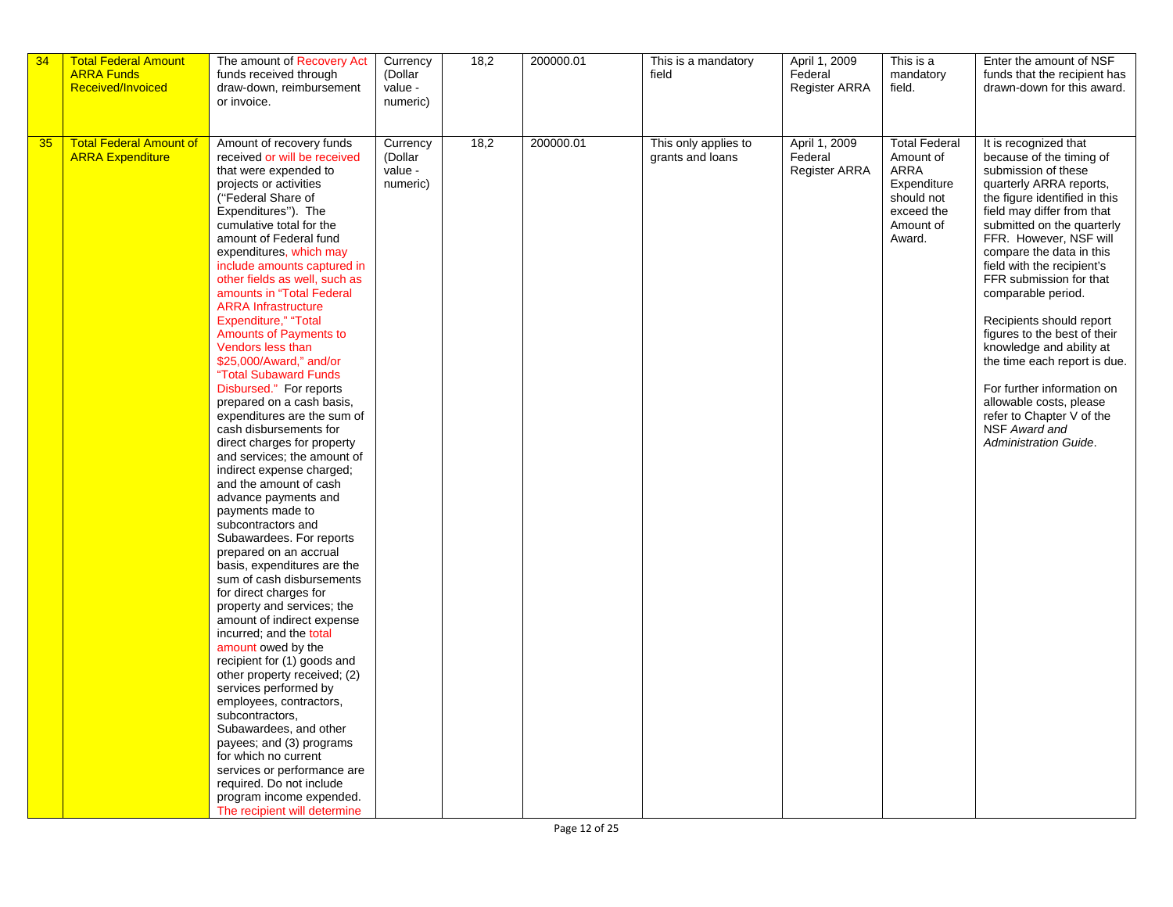| 34 | <b>Total Federal Amount</b><br><b>ARRA Funds</b><br>Received/Invoiced | The amount of Recovery Act<br>funds received through<br>draw-down, reimbursement<br>or invoice.                                                                                                                                                                                                                                                                                                                                                                                                                                                                                                                                                                                                                                                                                                                                                                                                                                                                                                                                                                                                                                                                                                                                                                                                                                                                                                             | Currency<br>(Dollar<br>value -<br>numeric) | 18,2 | 200000.01 | This is a mandatory<br>field             | April 1, 2009<br>Federal<br><b>Register ARRA</b> | This is a<br>mandatory<br>field.                                                                            | Enter the amount of NSF<br>funds that the recipient has<br>drawn-down for this award.                                                                                                                                                                                                                                                                                                                                                                                                                                                                                                         |
|----|-----------------------------------------------------------------------|-------------------------------------------------------------------------------------------------------------------------------------------------------------------------------------------------------------------------------------------------------------------------------------------------------------------------------------------------------------------------------------------------------------------------------------------------------------------------------------------------------------------------------------------------------------------------------------------------------------------------------------------------------------------------------------------------------------------------------------------------------------------------------------------------------------------------------------------------------------------------------------------------------------------------------------------------------------------------------------------------------------------------------------------------------------------------------------------------------------------------------------------------------------------------------------------------------------------------------------------------------------------------------------------------------------------------------------------------------------------------------------------------------------|--------------------------------------------|------|-----------|------------------------------------------|--------------------------------------------------|-------------------------------------------------------------------------------------------------------------|-----------------------------------------------------------------------------------------------------------------------------------------------------------------------------------------------------------------------------------------------------------------------------------------------------------------------------------------------------------------------------------------------------------------------------------------------------------------------------------------------------------------------------------------------------------------------------------------------|
| 35 | <b>Total Federal Amount of</b><br><b>ARRA Expenditure</b>             | Amount of recovery funds<br>received or will be received<br>that were expended to<br>projects or activities<br>("Federal Share of<br>Expenditures"). The<br>cumulative total for the<br>amount of Federal fund<br>expenditures, which may<br>include amounts captured in<br>other fields as well, such as<br>amounts in "Total Federal<br><b>ARRA Infrastructure</b><br>Expenditure," "Total<br>Amounts of Payments to<br>Vendors less than<br>\$25,000/Award," and/or<br>"Total Subaward Funds<br>Disbursed." For reports<br>prepared on a cash basis,<br>expenditures are the sum of<br>cash disbursements for<br>direct charges for property<br>and services; the amount of<br>indirect expense charged;<br>and the amount of cash<br>advance payments and<br>payments made to<br>subcontractors and<br>Subawardees. For reports<br>prepared on an accrual<br>basis, expenditures are the<br>sum of cash disbursements<br>for direct charges for<br>property and services; the<br>amount of indirect expense<br>incurred; and the total<br>amount owed by the<br>recipient for (1) goods and<br>other property received; (2)<br>services performed by<br>employees, contractors,<br>subcontractors,<br>Subawardees, and other<br>payees; and (3) programs<br>for which no current<br>services or performance are<br>required. Do not include<br>program income expended.<br>The recipient will determine | Currency<br>(Dollar<br>value -<br>numeric) | 18,2 | 200000.01 | This only applies to<br>grants and loans | April 1, 2009<br>Federal<br><b>Register ARRA</b> | <b>Total Federal</b><br>Amount of<br>ARRA<br>Expenditure<br>should not<br>exceed the<br>Amount of<br>Award. | It is recognized that<br>because of the timing of<br>submission of these<br>quarterly ARRA reports,<br>the figure identified in this<br>field may differ from that<br>submitted on the quarterly<br>FFR. However, NSF will<br>compare the data in this<br>field with the recipient's<br>FFR submission for that<br>comparable period.<br>Recipients should report<br>figures to the best of their<br>knowledge and ability at<br>the time each report is due.<br>For further information on<br>allowable costs, please<br>refer to Chapter V of the<br>NSF Award and<br>Administration Guide. |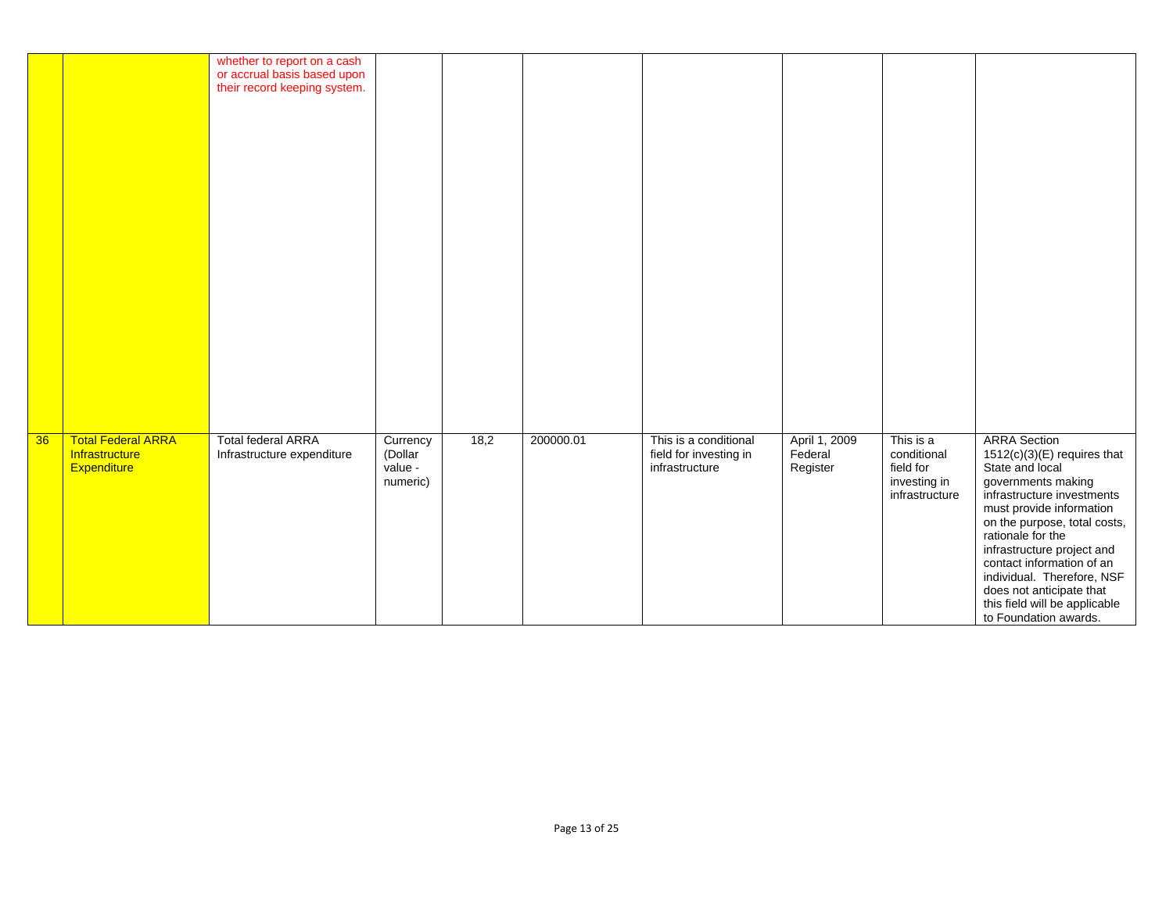|    |                           | whether to report on a cash  |          |      |           |                        |               |                |                               |
|----|---------------------------|------------------------------|----------|------|-----------|------------------------|---------------|----------------|-------------------------------|
|    |                           | or accrual basis based upon  |          |      |           |                        |               |                |                               |
|    |                           | their record keeping system. |          |      |           |                        |               |                |                               |
|    |                           |                              |          |      |           |                        |               |                |                               |
|    |                           |                              |          |      |           |                        |               |                |                               |
|    |                           |                              |          |      |           |                        |               |                |                               |
|    |                           |                              |          |      |           |                        |               |                |                               |
|    |                           |                              |          |      |           |                        |               |                |                               |
|    |                           |                              |          |      |           |                        |               |                |                               |
|    |                           |                              |          |      |           |                        |               |                |                               |
|    |                           |                              |          |      |           |                        |               |                |                               |
|    |                           |                              |          |      |           |                        |               |                |                               |
|    |                           |                              |          |      |           |                        |               |                |                               |
|    |                           |                              |          |      |           |                        |               |                |                               |
|    |                           |                              |          |      |           |                        |               |                |                               |
|    |                           |                              |          |      |           |                        |               |                |                               |
|    |                           |                              |          |      |           |                        |               |                |                               |
|    |                           |                              |          |      |           |                        |               |                |                               |
|    |                           |                              |          |      |           |                        |               |                |                               |
|    |                           |                              |          |      |           |                        |               |                |                               |
|    |                           |                              |          |      |           |                        |               |                |                               |
|    |                           |                              |          |      |           |                        |               |                |                               |
|    |                           |                              |          |      |           |                        |               |                |                               |
|    |                           |                              |          |      |           |                        |               |                |                               |
|    |                           |                              |          |      |           |                        |               |                |                               |
|    |                           |                              |          |      |           |                        |               |                |                               |
|    |                           |                              |          |      |           |                        |               |                |                               |
|    |                           |                              |          |      |           |                        |               |                |                               |
|    |                           |                              |          |      |           |                        |               |                |                               |
|    |                           |                              |          |      |           |                        |               |                |                               |
|    |                           |                              |          |      |           |                        |               |                |                               |
|    |                           |                              |          |      |           |                        |               |                |                               |
| 36 | <b>Total Federal ARRA</b> | <b>Total federal ARRA</b>    | Currency | 18,2 | 200000.01 | This is a conditional  | April 1, 2009 | This is a      | <b>ARRA</b> Section           |
|    | Infrastructure            | Infrastructure expenditure   | (Dollar  |      |           | field for investing in | Federal       | conditional    | $1512(c)(3)(E)$ requires that |
|    |                           |                              |          |      |           |                        |               |                |                               |
|    | Expenditure               |                              | value -  |      |           | infrastructure         | Register      | field for      | State and local               |
|    |                           |                              | numeric) |      |           |                        |               | investing in   | governments making            |
|    |                           |                              |          |      |           |                        |               | infrastructure | infrastructure investments    |
|    |                           |                              |          |      |           |                        |               |                | must provide information      |
|    |                           |                              |          |      |           |                        |               |                | on the purpose, total costs,  |
|    |                           |                              |          |      |           |                        |               |                |                               |
|    |                           |                              |          |      |           |                        |               |                | rationale for the             |
|    |                           |                              |          |      |           |                        |               |                | infrastructure project and    |
|    |                           |                              |          |      |           |                        |               |                | contact information of an     |
|    |                           |                              |          |      |           |                        |               |                | individual. Therefore, NSF    |
|    |                           |                              |          |      |           |                        |               |                | does not anticipate that      |
|    |                           |                              |          |      |           |                        |               |                | this field will be applicable |
|    |                           |                              |          |      |           |                        |               |                |                               |
|    |                           |                              |          |      |           |                        |               |                | to Foundation awards.         |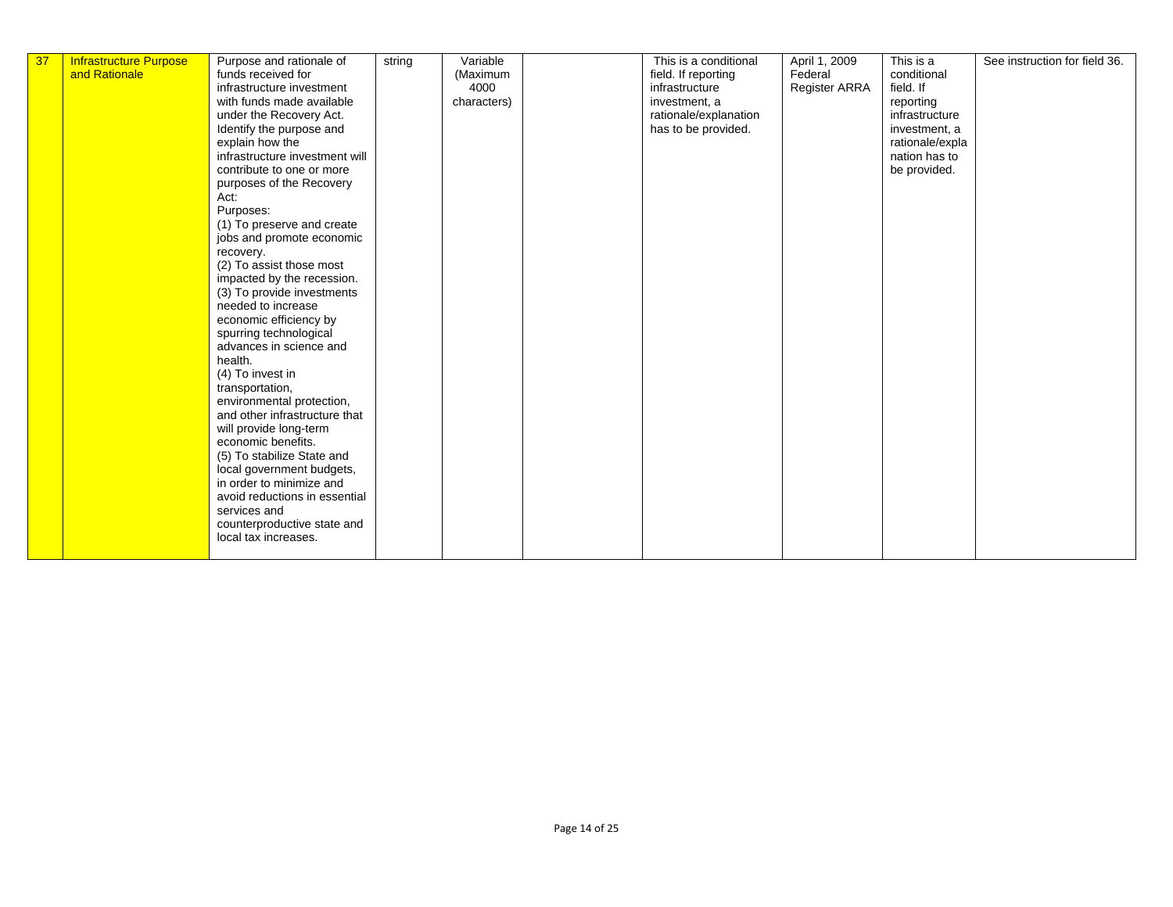| 37 | <b>Infrastructure Purpose</b> | Purpose and rationale of       | string | Variable    | This is a conditional | April 1, 2009        | This is a       | See instruction for field 36. |
|----|-------------------------------|--------------------------------|--------|-------------|-----------------------|----------------------|-----------------|-------------------------------|
|    | and Rationale                 | funds received for             |        | (Maximum    | field. If reporting   | Federal              | conditional     |                               |
|    |                               | infrastructure investment      |        | 4000        |                       |                      | field. If       |                               |
|    |                               |                                |        |             | infrastructure        | <b>Register ARRA</b> |                 |                               |
|    |                               | with funds made available      |        | characters) | investment, a         |                      | reporting       |                               |
|    |                               | under the Recovery Act.        |        |             | rationale/explanation |                      | infrastructure  |                               |
|    |                               | Identify the purpose and       |        |             | has to be provided.   |                      | investment, a   |                               |
|    |                               | explain how the                |        |             |                       |                      | rationale/expla |                               |
|    |                               | infrastructure investment will |        |             |                       |                      | nation has to   |                               |
|    |                               | contribute to one or more      |        |             |                       |                      | be provided.    |                               |
|    |                               | purposes of the Recovery       |        |             |                       |                      |                 |                               |
|    |                               | Act:                           |        |             |                       |                      |                 |                               |
|    |                               | Purposes:                      |        |             |                       |                      |                 |                               |
|    |                               | (1) To preserve and create     |        |             |                       |                      |                 |                               |
|    |                               | jobs and promote economic      |        |             |                       |                      |                 |                               |
|    |                               | recovery.                      |        |             |                       |                      |                 |                               |
|    |                               | (2) To assist those most       |        |             |                       |                      |                 |                               |
|    |                               | impacted by the recession.     |        |             |                       |                      |                 |                               |
|    |                               | (3) To provide investments     |        |             |                       |                      |                 |                               |
|    |                               | needed to increase             |        |             |                       |                      |                 |                               |
|    |                               | economic efficiency by         |        |             |                       |                      |                 |                               |
|    |                               | spurring technological         |        |             |                       |                      |                 |                               |
|    |                               | advances in science and        |        |             |                       |                      |                 |                               |
|    |                               | health.                        |        |             |                       |                      |                 |                               |
|    |                               | (4) To invest in               |        |             |                       |                      |                 |                               |
|    |                               | transportation,                |        |             |                       |                      |                 |                               |
|    |                               | environmental protection,      |        |             |                       |                      |                 |                               |
|    |                               | and other infrastructure that  |        |             |                       |                      |                 |                               |
|    |                               | will provide long-term         |        |             |                       |                      |                 |                               |
|    |                               | economic benefits.             |        |             |                       |                      |                 |                               |
|    |                               |                                |        |             |                       |                      |                 |                               |
|    |                               | (5) To stabilize State and     |        |             |                       |                      |                 |                               |
|    |                               | local government budgets,      |        |             |                       |                      |                 |                               |
|    |                               | in order to minimize and       |        |             |                       |                      |                 |                               |
|    |                               | avoid reductions in essential  |        |             |                       |                      |                 |                               |
|    |                               | services and                   |        |             |                       |                      |                 |                               |
|    |                               | counterproductive state and    |        |             |                       |                      |                 |                               |
|    |                               | local tax increases.           |        |             |                       |                      |                 |                               |
|    |                               |                                |        |             |                       |                      |                 |                               |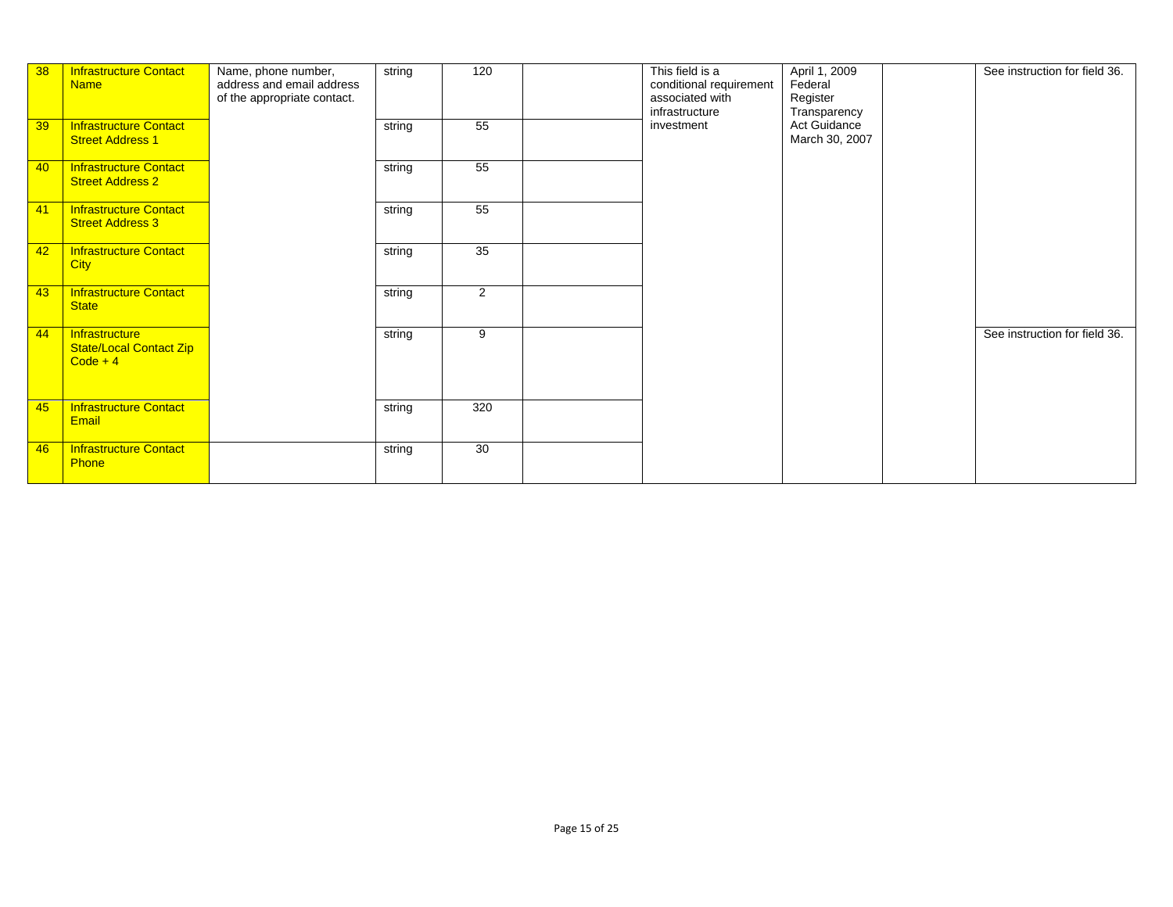| 38 | <b>Infrastructure Contact</b><br><b>Name</b>                          | Name, phone number,<br>address and email address<br>of the appropriate contact. | string | 120 | This field is a<br>conditional requirement<br>associated with<br>infrastructure | April 1, 2009<br>Federal<br>Register<br>Transparency | See instruction for field 36. |
|----|-----------------------------------------------------------------------|---------------------------------------------------------------------------------|--------|-----|---------------------------------------------------------------------------------|------------------------------------------------------|-------------------------------|
| 39 | <b>Infrastructure Contact</b><br><b>Street Address 1</b>              |                                                                                 | string | 55  | investment                                                                      | Act Guidance<br>March 30, 2007                       |                               |
| 40 | <b>Infrastructure Contact</b><br><b>Street Address 2</b>              |                                                                                 | string | 55  |                                                                                 |                                                      |                               |
| 41 | <b>Infrastructure Contact</b><br><b>Street Address 3</b>              |                                                                                 | string | 55  |                                                                                 |                                                      |                               |
| 42 | <b>Infrastructure Contact</b><br><b>City</b>                          |                                                                                 | string | 35  |                                                                                 |                                                      |                               |
| 43 | <b>Infrastructure Contact</b><br><b>State</b>                         |                                                                                 | string | 2   |                                                                                 |                                                      |                               |
| 44 | <b>Infrastructure</b><br><b>State/Local Contact Zip</b><br>$Code + 4$ |                                                                                 | string | 9   |                                                                                 |                                                      | See instruction for field 36. |
| 45 | <b>Infrastructure Contact</b><br>Email                                |                                                                                 | string | 320 |                                                                                 |                                                      |                               |
| 46 | <b>Infrastructure Contact</b><br>Phone                                |                                                                                 | string | 30  |                                                                                 |                                                      |                               |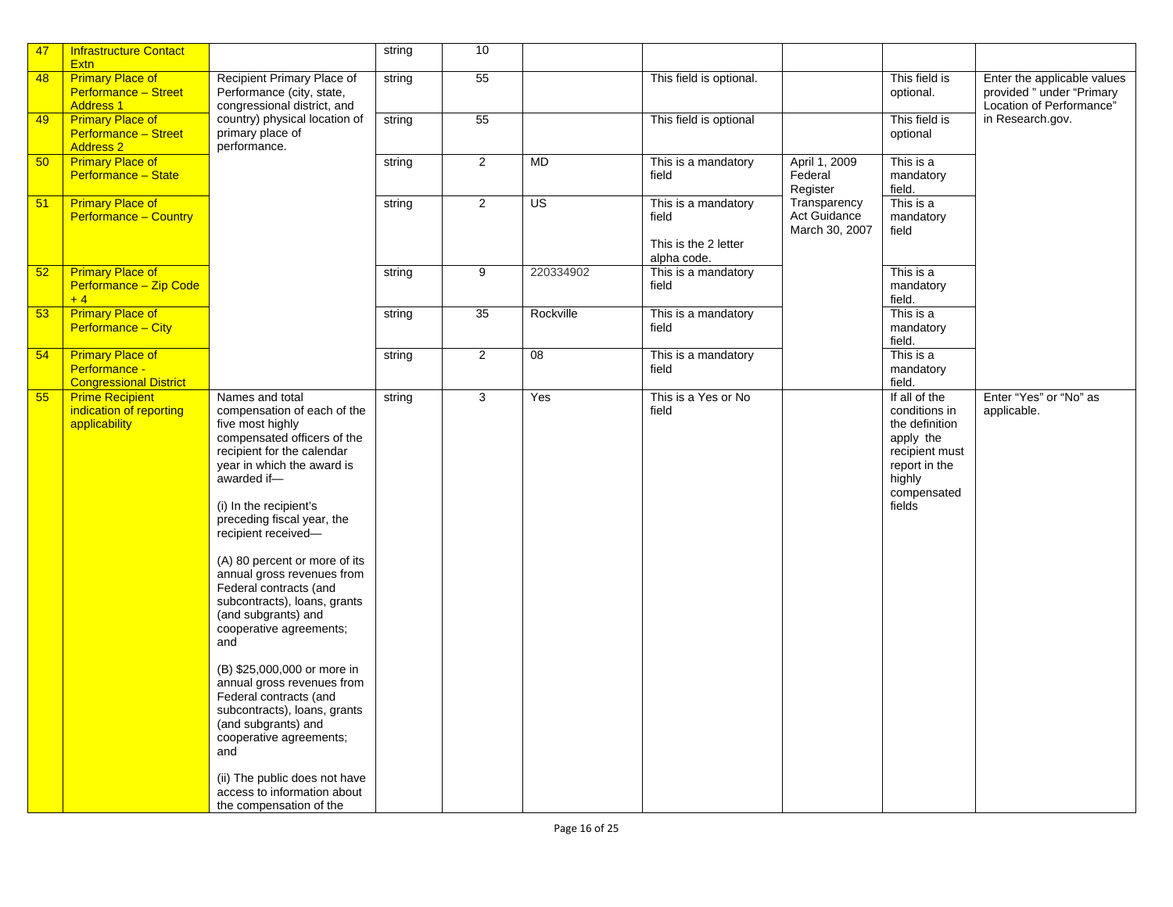| 47    | <b>Infrastructure Contact</b><br><b>Extn</b>                               |                                                                                                                                                                                                                                                                                                                                                                                                                                                                                                                                                                                                                                                                                                                          | string | 10               |           |                                                                     |                                                |                                                                                                                                     |                                                                                      |
|-------|----------------------------------------------------------------------------|--------------------------------------------------------------------------------------------------------------------------------------------------------------------------------------------------------------------------------------------------------------------------------------------------------------------------------------------------------------------------------------------------------------------------------------------------------------------------------------------------------------------------------------------------------------------------------------------------------------------------------------------------------------------------------------------------------------------------|--------|------------------|-----------|---------------------------------------------------------------------|------------------------------------------------|-------------------------------------------------------------------------------------------------------------------------------------|--------------------------------------------------------------------------------------|
| 48    | <b>Primary Place of</b><br><b>Performance - Street</b><br><b>Address 1</b> | Recipient Primary Place of<br>Performance (city, state,<br>congressional district, and                                                                                                                                                                                                                                                                                                                                                                                                                                                                                                                                                                                                                                   | string | 55               |           | This field is optional.                                             |                                                | This field is<br>optional.                                                                                                          | Enter the applicable values<br>provided " under "Primary<br>Location of Performance" |
| 49    | <b>Primary Place of</b><br>Performance - Street<br><b>Address 2</b>        | country) physical location of<br>primary place of<br>performance.                                                                                                                                                                                                                                                                                                                                                                                                                                                                                                                                                                                                                                                        | string | 55               |           | This field is optional                                              |                                                | This field is<br>optional                                                                                                           | in Research.gov.                                                                     |
| 50    | <b>Primary Place of</b><br>Performance - State                             |                                                                                                                                                                                                                                                                                                                                                                                                                                                                                                                                                                                                                                                                                                                          | string | $\overline{2}$   | <b>MD</b> | This is a mandatory<br>field                                        | April 1, 2009<br>Federal<br>Register           | This is a<br>mandatory<br>field.                                                                                                    |                                                                                      |
| $-51$ | <b>Primary Place of</b><br><b>Performance - Country</b>                    |                                                                                                                                                                                                                                                                                                                                                                                                                                                                                                                                                                                                                                                                                                                          | string | $\overline{2}$   | US        | This is a mandatory<br>field<br>This is the 2 letter<br>alpha code. | Transparency<br>Act Guidance<br>March 30, 2007 | This is a<br>mandatory<br>field                                                                                                     |                                                                                      |
| 52    | <b>Primary Place of</b><br>Performance - Zip Code<br>$+4$                  |                                                                                                                                                                                                                                                                                                                                                                                                                                                                                                                                                                                                                                                                                                                          | string | $\boldsymbol{9}$ | 220334902 | This is a mandatory<br>field                                        |                                                | This is a<br>mandatory<br>field.                                                                                                    |                                                                                      |
| 53    | <b>Primary Place of</b><br><b>Performance - City</b>                       |                                                                                                                                                                                                                                                                                                                                                                                                                                                                                                                                                                                                                                                                                                                          | string | 35               | Rockville | This is a mandatory<br>field                                        |                                                | This is a<br>mandatory<br>field.                                                                                                    |                                                                                      |
| 54    | <b>Primary Place of</b><br>Performance -<br><b>Congressional District</b>  |                                                                                                                                                                                                                                                                                                                                                                                                                                                                                                                                                                                                                                                                                                                          | string | $\overline{2}$   | 08        | This is a mandatory<br>field                                        |                                                | This is a<br>mandatory<br>field.                                                                                                    |                                                                                      |
| 55    | <b>Prime Recipient</b><br>indication of reporting<br>applicability         | Names and total<br>compensation of each of the<br>five most highly<br>compensated officers of the<br>recipient for the calendar<br>year in which the award is<br>awarded if-<br>(i) In the recipient's<br>preceding fiscal year, the<br>recipient received-<br>(A) 80 percent or more of its<br>annual gross revenues from<br>Federal contracts (and<br>subcontracts), loans, grants<br>(and subgrants) and<br>cooperative agreements;<br>and<br>(B) \$25,000,000 or more in<br>annual gross revenues from<br>Federal contracts (and<br>subcontracts), loans, grants<br>(and subgrants) and<br>cooperative agreements;<br>and<br>(ii) The public does not have<br>access to information about<br>the compensation of the | string | $\overline{3}$   | Yes       | This is a Yes or No<br>field                                        |                                                | If all of the<br>conditions in<br>the definition<br>apply the<br>recipient must<br>report in the<br>highly<br>compensated<br>fields | Enter "Yes" or "No" as<br>applicable.                                                |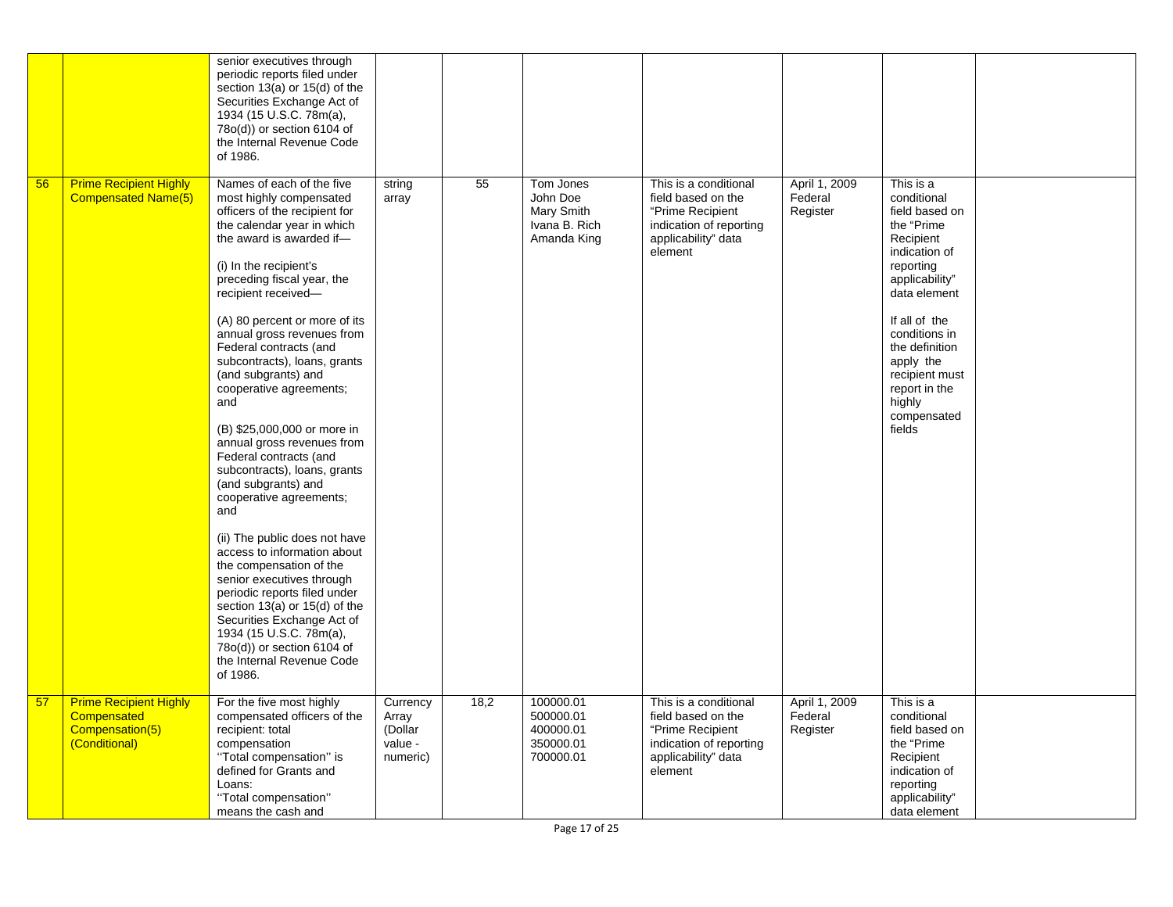|    |                                                                                  | senior executives through<br>periodic reports filed under<br>section $13(a)$ or $15(d)$ of the<br>Securities Exchange Act of<br>1934 (15 U.S.C. 78m(a),<br>78o(d)) or section 6104 of<br>the Internal Revenue Code<br>of 1986.                                                                                                                                                                                                                                                                                                                                                                                                                                                                                                                                                                                                                                                                                               |                                                     |      |                                                                     |                                                                                                                              |                                      |                                                                                                                                                                                                                                                                               |  |
|----|----------------------------------------------------------------------------------|------------------------------------------------------------------------------------------------------------------------------------------------------------------------------------------------------------------------------------------------------------------------------------------------------------------------------------------------------------------------------------------------------------------------------------------------------------------------------------------------------------------------------------------------------------------------------------------------------------------------------------------------------------------------------------------------------------------------------------------------------------------------------------------------------------------------------------------------------------------------------------------------------------------------------|-----------------------------------------------------|------|---------------------------------------------------------------------|------------------------------------------------------------------------------------------------------------------------------|--------------------------------------|-------------------------------------------------------------------------------------------------------------------------------------------------------------------------------------------------------------------------------------------------------------------------------|--|
| 56 | <b>Prime Recipient Highly</b><br>Compensated Name(5)                             | Names of each of the five<br>most highly compensated<br>officers of the recipient for<br>the calendar year in which<br>the award is awarded if-<br>(i) In the recipient's<br>preceding fiscal year, the<br>recipient received-<br>(A) 80 percent or more of its<br>annual gross revenues from<br>Federal contracts (and<br>subcontracts), loans, grants<br>(and subgrants) and<br>cooperative agreements;<br>and<br>(B) \$25,000,000 or more in<br>annual gross revenues from<br>Federal contracts (and<br>subcontracts), loans, grants<br>(and subgrants) and<br>cooperative agreements;<br>and<br>(ii) The public does not have<br>access to information about<br>the compensation of the<br>senior executives through<br>periodic reports filed under<br>section 13(a) or 15(d) of the<br>Securities Exchange Act of<br>1934 (15 U.S.C. 78m(a),<br>$78o(d)$ ) or section 6104 of<br>the Internal Revenue Code<br>of 1986. | string<br>array                                     | 55   | Tom Jones<br>John Doe<br>Mary Smith<br>Ivana B. Rich<br>Amanda King | This is a conditional<br>field based on the<br>"Prime Recipient<br>indication of reporting<br>applicability" data<br>element | April 1, 2009<br>Federal<br>Register | This is a<br>conditional<br>field based on<br>the "Prime"<br>Recipient<br>indication of<br>reporting<br>applicability"<br>data element<br>If all of the<br>conditions in<br>the definition<br>apply the<br>recipient must<br>report in the<br>highly<br>compensated<br>fields |  |
| 57 | <b>Prime Recipient Highly</b><br>Compensated<br>Compensation(5)<br>(Conditional) | For the five most highly<br>compensated officers of the<br>recipient: total<br>compensation<br>"Total compensation" is<br>defined for Grants and<br>Loans:<br>"Total compensation"<br>means the cash and                                                                                                                                                                                                                                                                                                                                                                                                                                                                                                                                                                                                                                                                                                                     | Currency<br>Array<br>(Dollar<br>value -<br>numeric) | 18,2 | 100000.01<br>500000.01<br>400000.01<br>350000.01<br>700000.01       | This is a conditional<br>field based on the<br>"Prime Recipient<br>indication of reporting<br>applicability" data<br>element | April 1, 2009<br>Federal<br>Register | This is a<br>conditional<br>field based on<br>the "Prime<br>Recipient<br>indication of<br>reporting<br>applicability"<br>data element                                                                                                                                         |  |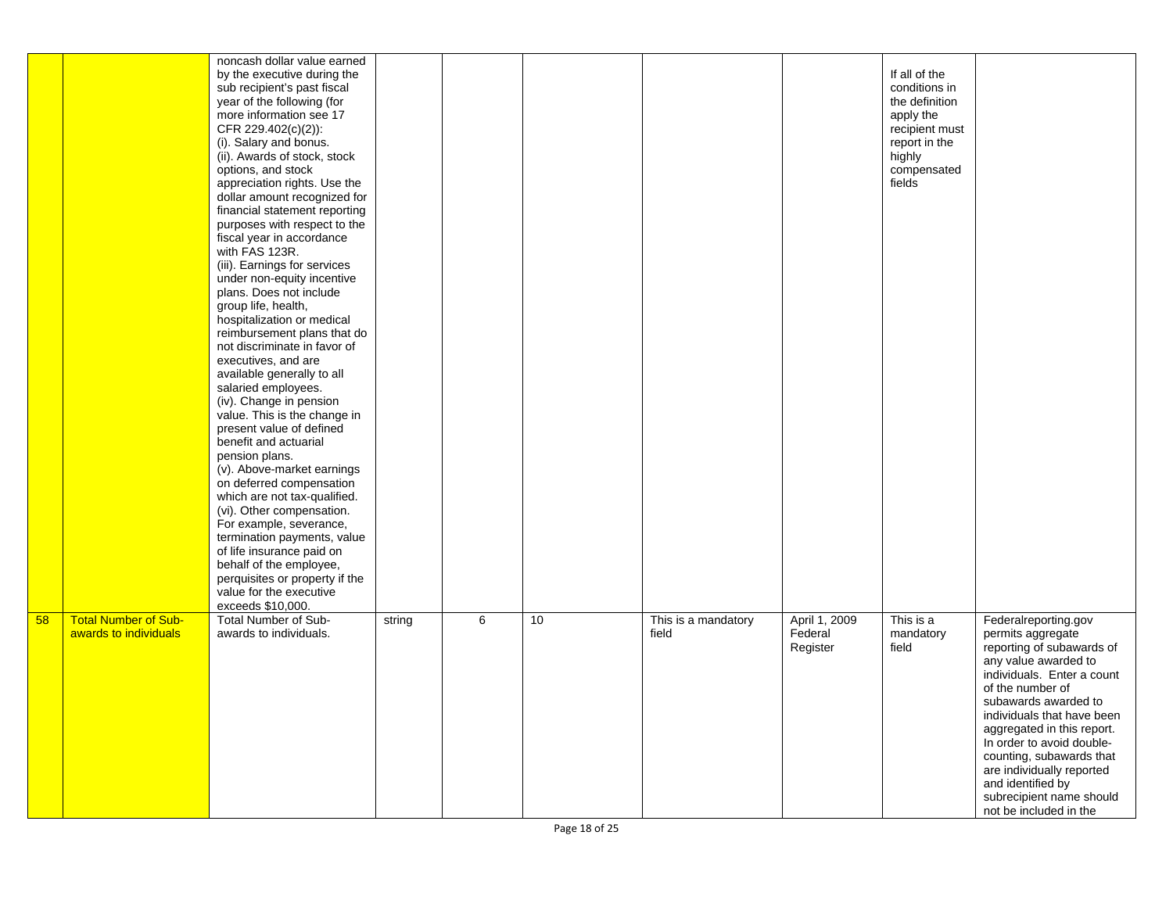|    |                                                      | noncash dollar value earned<br>by the executive during the<br>sub recipient's past fiscal<br>year of the following (for<br>more information see 17<br>CFR 229.402(c)(2)):<br>(i). Salary and bonus.<br>(ii). Awards of stock, stock<br>options, and stock<br>appreciation rights. Use the<br>dollar amount recognized for<br>financial statement reporting<br>purposes with respect to the<br>fiscal year in accordance<br>with FAS 123R.<br>(iii). Earnings for services<br>under non-equity incentive<br>plans. Does not include<br>group life, health,<br>hospitalization or medical<br>reimbursement plans that do<br>not discriminate in favor of<br>executives, and are<br>available generally to all<br>salaried employees.<br>(iv). Change in pension<br>value. This is the change in<br>present value of defined<br>benefit and actuarial<br>pension plans.<br>(v). Above-market earnings<br>on deferred compensation<br>which are not tax-qualified.<br>(vi). Other compensation.<br>For example, severance,<br>termination payments, value<br>of life insurance paid on<br>behalf of the employee,<br>perquisites or property if the<br>value for the executive<br>exceeds \$10,000. |        |                |                 |                              |                                      | If all of the<br>conditions in<br>the definition<br>apply the<br>recipient must<br>report in the<br>highly<br>compensated<br>fields |                                                                                                                                                                                                                                                                                                                                                                                                       |
|----|------------------------------------------------------|-------------------------------------------------------------------------------------------------------------------------------------------------------------------------------------------------------------------------------------------------------------------------------------------------------------------------------------------------------------------------------------------------------------------------------------------------------------------------------------------------------------------------------------------------------------------------------------------------------------------------------------------------------------------------------------------------------------------------------------------------------------------------------------------------------------------------------------------------------------------------------------------------------------------------------------------------------------------------------------------------------------------------------------------------------------------------------------------------------------------------------------------------------------------------------------------------|--------|----------------|-----------------|------------------------------|--------------------------------------|-------------------------------------------------------------------------------------------------------------------------------------|-------------------------------------------------------------------------------------------------------------------------------------------------------------------------------------------------------------------------------------------------------------------------------------------------------------------------------------------------------------------------------------------------------|
| 58 | <b>Total Number of Sub-</b><br>awards to individuals | <b>Total Number of Sub-</b><br>awards to individuals.                                                                                                                                                                                                                                                                                                                                                                                                                                                                                                                                                                                                                                                                                                                                                                                                                                                                                                                                                                                                                                                                                                                                           | string | $\overline{6}$ | 10 <sup>°</sup> | This is a mandatory<br>field | April 1, 2009<br>Federal<br>Register | This is a<br>mandatory<br>field                                                                                                     | Federalreporting.gov<br>permits aggregate<br>reporting of subawards of<br>any value awarded to<br>individuals. Enter a count<br>of the number of<br>subawards awarded to<br>individuals that have been<br>aggregated in this report.<br>In order to avoid double-<br>counting, subawards that<br>are individually reported<br>and identified by<br>subrecipient name should<br>not be included in the |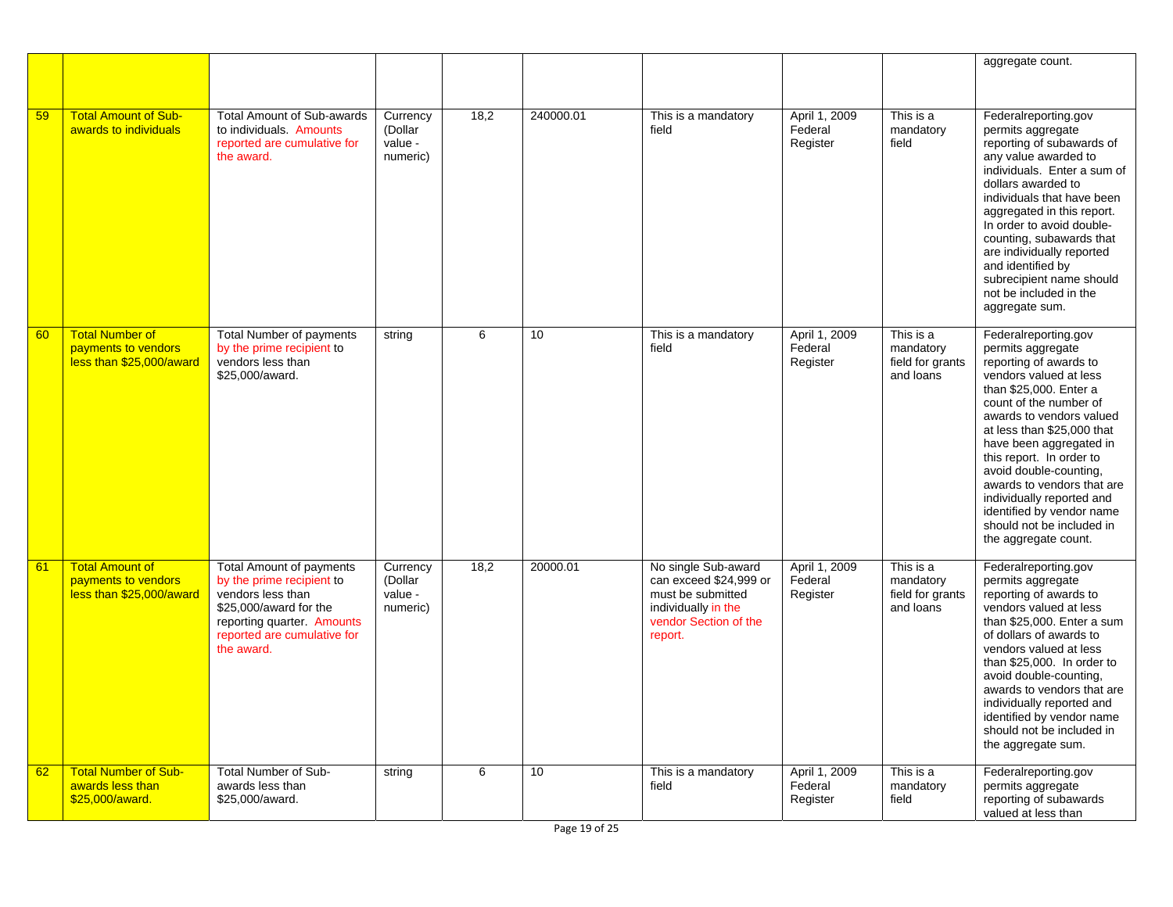|    |                                                                           |                                                                                                                                                                                        |                                            |      |           |                                                                                                                               |                                      |                                                         | aggregate count.                                                                                                                                                                                                                                                                                                                                                                                                                          |
|----|---------------------------------------------------------------------------|----------------------------------------------------------------------------------------------------------------------------------------------------------------------------------------|--------------------------------------------|------|-----------|-------------------------------------------------------------------------------------------------------------------------------|--------------------------------------|---------------------------------------------------------|-------------------------------------------------------------------------------------------------------------------------------------------------------------------------------------------------------------------------------------------------------------------------------------------------------------------------------------------------------------------------------------------------------------------------------------------|
|    |                                                                           |                                                                                                                                                                                        |                                            |      |           |                                                                                                                               |                                      |                                                         |                                                                                                                                                                                                                                                                                                                                                                                                                                           |
| 59 | <b>Total Amount of Sub-</b><br>awards to individuals                      | <b>Total Amount of Sub-awards</b><br>to individuals. Amounts<br>reported are cumulative for<br>the award.                                                                              | Currency<br>(Dollar<br>value -<br>numeric) | 18,2 | 240000.01 | This is a mandatory<br>field                                                                                                  | April 1, 2009<br>Federal<br>Register | This is a<br>mandatory<br>field                         | Federalreporting.gov<br>permits aggregate<br>reporting of subawards of<br>any value awarded to<br>individuals. Enter a sum of<br>dollars awarded to<br>individuals that have been<br>aggregated in this report.<br>In order to avoid double-<br>counting, subawards that<br>are individually reported<br>and identified by<br>subrecipient name should<br>not be included in the<br>aggregate sum.                                        |
| 60 | <b>Total Number of</b><br>payments to vendors<br>less than \$25,000/award | <b>Total Number of payments</b><br>by the prime recipient to<br>vendors less than<br>\$25,000/award.                                                                                   | string                                     | 6    | 10        | This is a mandatory<br>field                                                                                                  | April 1, 2009<br>Federal<br>Register | This is a<br>mandatory<br>field for grants<br>and loans | Federalreporting.gov<br>permits aggregate<br>reporting of awards to<br>vendors valued at less<br>than \$25,000. Enter a<br>count of the number of<br>awards to vendors valued<br>at less than \$25,000 that<br>have been aggregated in<br>this report. In order to<br>avoid double-counting,<br>awards to vendors that are<br>individually reported and<br>identified by vendor name<br>should not be included in<br>the aggregate count. |
| 61 | <b>Total Amount of</b><br>payments to vendors<br>less than \$25,000/award | <b>Total Amount of payments</b><br>by the prime recipient to<br>vendors less than<br>\$25,000/award for the<br>reporting quarter. Amounts<br>reported are cumulative for<br>the award. | Currency<br>(Dollar<br>value -<br>numeric) | 18,2 | 20000.01  | No single Sub-award<br>can exceed \$24.999 or<br>must be submitted<br>individually in the<br>vendor Section of the<br>report. | April 1, 2009<br>Federal<br>Register | This is a<br>mandatory<br>field for grants<br>and loans | Federalreporting.gov<br>permits aggregate<br>reporting of awards to<br>vendors valued at less<br>than \$25,000. Enter a sum<br>of dollars of awards to<br>vendors valued at less<br>than \$25,000. In order to<br>avoid double-counting,<br>awards to vendors that are<br>individually reported and<br>identified by vendor name<br>should not be included in<br>the aggregate sum.                                                       |
| 62 | <b>Total Number of Sub-</b><br>awards less than<br>\$25,000/award.        | Total Number of Sub-<br>awards less than<br>\$25,000/award.                                                                                                                            | string                                     | 6    | 10        | This is a mandatory<br>field                                                                                                  | April 1, 2009<br>Federal<br>Register | This is a<br>mandatory<br>field                         | Federalreporting.gov<br>permits aggregate<br>reporting of subawards<br>valued at less than                                                                                                                                                                                                                                                                                                                                                |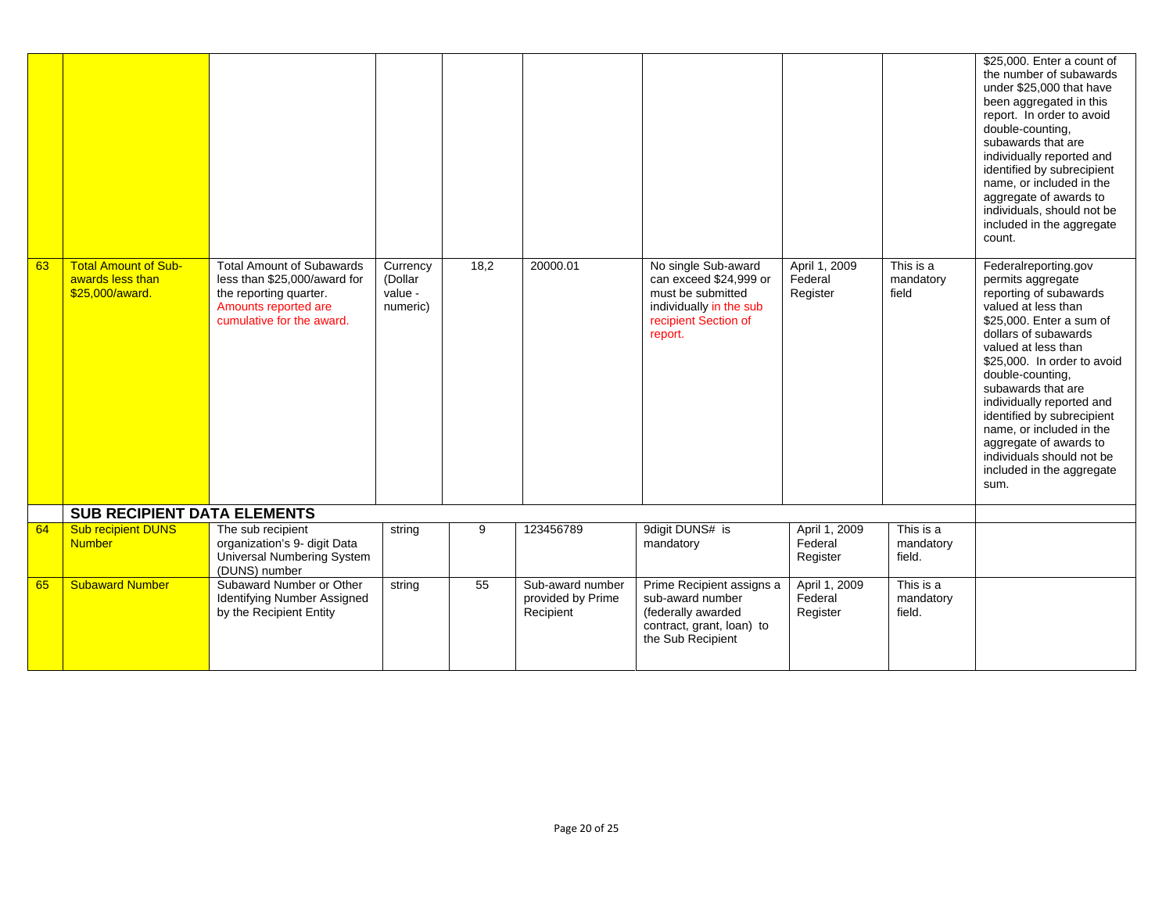|    |                                                                    |                                                                                                                                                 |                                            |      |                                                    |                                                                                                                                  |                                      |                                  | \$25,000. Enter a count of<br>the number of subawards<br>under \$25,000 that have<br>been aggregated in this<br>report. In order to avoid<br>double-counting,<br>subawards that are<br>individually reported and<br>identified by subrecipient<br>name, or included in the<br>aggregate of awards to<br>individuals, should not be<br>included in the aggregate<br>count.                                                         |
|----|--------------------------------------------------------------------|-------------------------------------------------------------------------------------------------------------------------------------------------|--------------------------------------------|------|----------------------------------------------------|----------------------------------------------------------------------------------------------------------------------------------|--------------------------------------|----------------------------------|-----------------------------------------------------------------------------------------------------------------------------------------------------------------------------------------------------------------------------------------------------------------------------------------------------------------------------------------------------------------------------------------------------------------------------------|
| 63 | <b>Total Amount of Sub-</b><br>awards less than<br>\$25,000/award. | <b>Total Amount of Subawards</b><br>less than \$25,000/award for<br>the reporting quarter.<br>Amounts reported are<br>cumulative for the award. | Currency<br>(Dollar<br>value -<br>numeric) | 18,2 | 20000.01                                           | No single Sub-award<br>can exceed \$24,999 or<br>must be submitted<br>individually in the sub<br>recipient Section of<br>report. | April 1, 2009<br>Federal<br>Register | This is a<br>mandatory<br>field  | Federalreporting.gov<br>permits aggregate<br>reporting of subawards<br>valued at less than<br>\$25,000. Enter a sum of<br>dollars of subawards<br>valued at less than<br>\$25,000. In order to avoid<br>double-counting,<br>subawards that are<br>individually reported and<br>identified by subrecipient<br>name, or included in the<br>aggregate of awards to<br>individuals should not be<br>included in the aggregate<br>sum. |
|    | <b>SUB RECIPIENT DATA ELEMENTS</b>                                 |                                                                                                                                                 |                                            |      |                                                    |                                                                                                                                  |                                      |                                  |                                                                                                                                                                                                                                                                                                                                                                                                                                   |
| 64 | <b>Sub recipient DUNS</b><br><b>Number</b>                         | The sub recipient<br>organization's 9- digit Data<br>Universal Numbering System<br>(DUNS) number                                                | string                                     | 9    | 123456789                                          | 9digit DUNS# is<br>mandatory                                                                                                     | April 1, 2009<br>Federal<br>Register | This is a<br>mandatory<br>field. |                                                                                                                                                                                                                                                                                                                                                                                                                                   |
| 65 | <b>Subaward Number</b>                                             | Subaward Number or Other<br>Identifying Number Assigned<br>by the Recipient Entity                                                              | string                                     | 55   | Sub-award number<br>provided by Prime<br>Recipient | Prime Recipient assigns a<br>sub-award number<br>(federally awarded<br>contract, grant, loan) to<br>the Sub Recipient            | April 1, 2009<br>Federal<br>Register | This is a<br>mandatory<br>field. |                                                                                                                                                                                                                                                                                                                                                                                                                                   |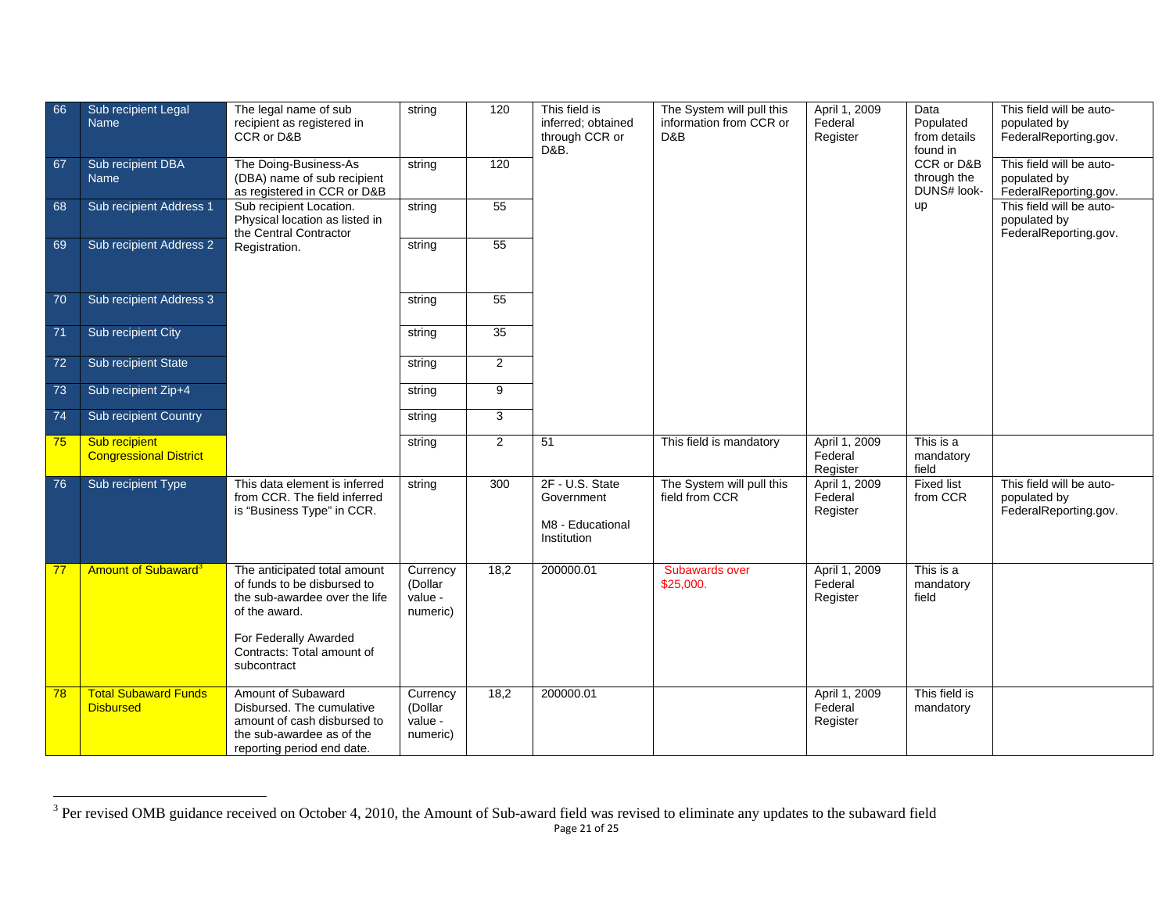| 66 | Sub recipient Legal<br>Name                           | The legal name of sub<br>recipient as registered in<br>CCR or D&B                                                                                                                   | string                                     | 120            | This field is<br>inferred; obtained<br>through CCR or<br>D&B.    | The System will pull this<br>information from CCR or<br>D&B | April 1, 2009<br>Federal<br>Register | Data<br>Populated<br>from details<br>found in | This field will be auto-<br>populated by<br>FederalReporting.gov. |
|----|-------------------------------------------------------|-------------------------------------------------------------------------------------------------------------------------------------------------------------------------------------|--------------------------------------------|----------------|------------------------------------------------------------------|-------------------------------------------------------------|--------------------------------------|-----------------------------------------------|-------------------------------------------------------------------|
| 67 | Sub recipient DBA<br><b>Name</b>                      | The Doing-Business-As<br>(DBA) name of sub recipient<br>as registered in CCR or D&B                                                                                                 | string                                     | 120            |                                                                  |                                                             |                                      | CCR or D&B<br>through the<br>DUNS# look-      | This field will be auto-<br>populated by<br>FederalReporting.gov. |
| 68 | Sub recipient Address 1                               | Sub recipient Location.<br>Physical location as listed in<br>the Central Contractor                                                                                                 | string                                     | 55             |                                                                  |                                                             |                                      | up                                            | This field will be auto-<br>populated by<br>FederalReporting.gov. |
| 69 | Sub recipient Address 2                               | Registration.                                                                                                                                                                       | string                                     | 55             |                                                                  |                                                             |                                      |                                               |                                                                   |
| 70 | Sub recipient Address 3                               |                                                                                                                                                                                     | string                                     | 55             |                                                                  |                                                             |                                      |                                               |                                                                   |
| 71 | Sub recipient City                                    |                                                                                                                                                                                     | string                                     | 35             |                                                                  |                                                             |                                      |                                               |                                                                   |
| 72 | Sub recipient State                                   |                                                                                                                                                                                     | string                                     | $\overline{2}$ |                                                                  |                                                             |                                      |                                               |                                                                   |
| 73 | Sub recipient Zip+4                                   |                                                                                                                                                                                     | string                                     | 9              |                                                                  |                                                             |                                      |                                               |                                                                   |
| 74 | Sub recipient Country                                 |                                                                                                                                                                                     | string                                     | 3              |                                                                  |                                                             |                                      |                                               |                                                                   |
| 75 | <b>Sub recipient</b><br><b>Congressional District</b> |                                                                                                                                                                                     | string                                     | $\overline{2}$ | 51                                                               | This field is mandatory                                     | April 1, 2009<br>Federal<br>Register | This is a<br>mandatory<br>field               |                                                                   |
| 76 | Sub recipient Type                                    | This data element is inferred<br>from CCR. The field inferred<br>is "Business Type" in CCR.                                                                                         | string                                     | 300            | 2F - U.S. State<br>Government<br>M8 - Educational<br>Institution | The System will pull this<br>field from CCR                 | April 1, 2009<br>Federal<br>Register | <b>Fixed list</b><br>from CCR                 | This field will be auto-<br>populated by<br>FederalReporting.gov. |
| 77 | Amount of Subaward <sup>3</sup>                       | The anticipated total amount<br>of funds to be disbursed to<br>the sub-awardee over the life<br>of the award.<br>For Federally Awarded<br>Contracts: Total amount of<br>subcontract | Currency<br>(Dollar<br>value -<br>numeric) | 18,2           | 200000.01                                                        | Subawards over<br>\$25,000.                                 | April 1, 2009<br>Federal<br>Register | This is a<br>mandatory<br>field               |                                                                   |
| 78 | <b>Total Subaward Funds</b><br><b>Disbursed</b>       | Amount of Subaward<br>Disbursed. The cumulative<br>amount of cash disbursed to<br>the sub-awardee as of the<br>reporting period end date.                                           | Currency<br>(Dollar<br>value -<br>numeric) | 18,2           | 200000.01                                                        |                                                             | April 1, 2009<br>Federal<br>Register | This field is<br>mandatory                    |                                                                   |

 $3$  Per revised OMB guidance received on October 4, 2010, the Amount of Sub-award field was revised to eliminate any updates to the subaward field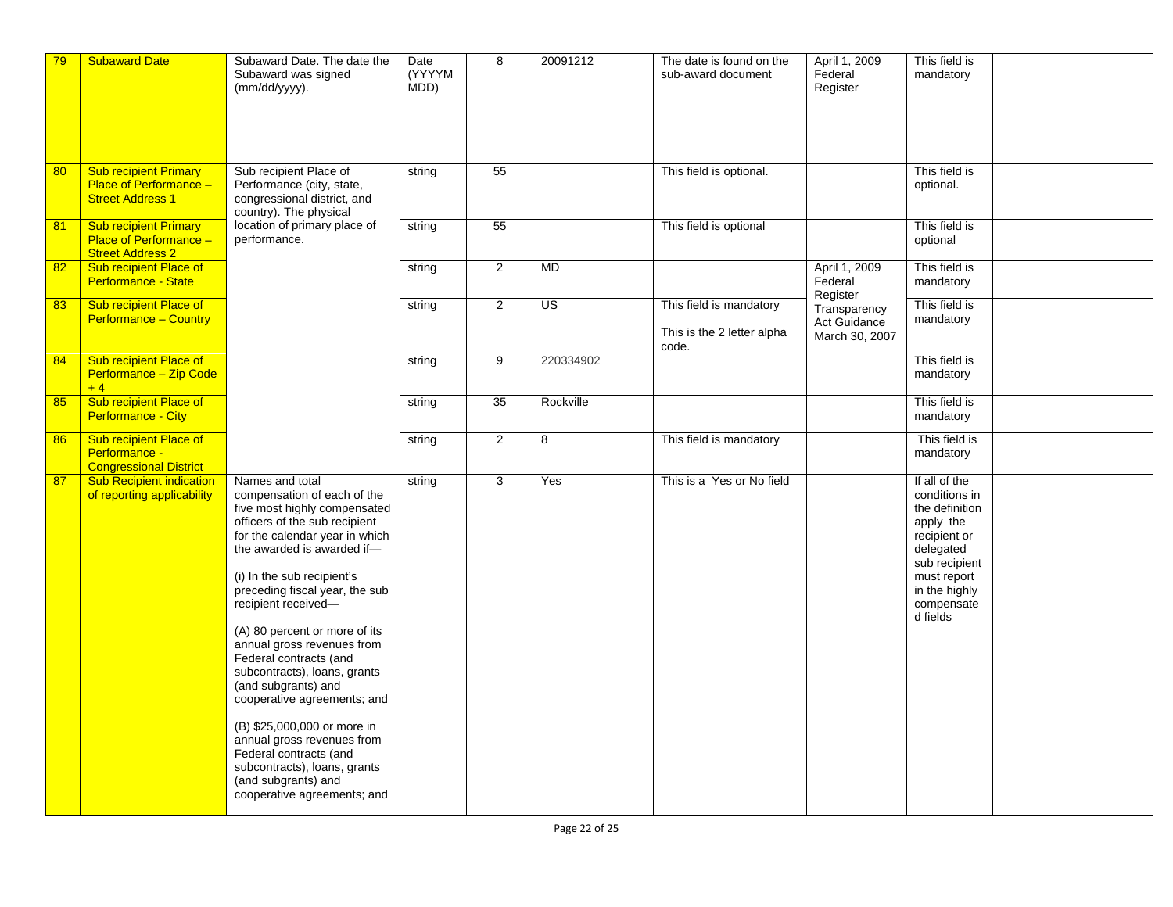| 79 | <b>Subaward Date</b>                                                                     | Subaward Date. The date the<br>Subaward was signed<br>(mm/dd/yyyy).                                                                                                                                                                                                                                                                                                                                                                                                                                                                                                                                                                | Date<br>(YYYYM<br>MDD) | 8              | 20091212        | The date is found on the<br>sub-award document                 | April 1, 2009<br>Federal<br>Register           | This field is<br>mandatory                                                                                                                                            |  |
|----|------------------------------------------------------------------------------------------|------------------------------------------------------------------------------------------------------------------------------------------------------------------------------------------------------------------------------------------------------------------------------------------------------------------------------------------------------------------------------------------------------------------------------------------------------------------------------------------------------------------------------------------------------------------------------------------------------------------------------------|------------------------|----------------|-----------------|----------------------------------------------------------------|------------------------------------------------|-----------------------------------------------------------------------------------------------------------------------------------------------------------------------|--|
|    |                                                                                          |                                                                                                                                                                                                                                                                                                                                                                                                                                                                                                                                                                                                                                    |                        |                |                 |                                                                |                                                |                                                                                                                                                                       |  |
| 80 | <b>Sub recipient Primary</b><br><b>Place of Performance -</b><br><b>Street Address 1</b> | Sub recipient Place of<br>Performance (city, state,<br>congressional district, and<br>country). The physical                                                                                                                                                                                                                                                                                                                                                                                                                                                                                                                       | string                 | 55             |                 | This field is optional.                                        |                                                | This field is<br>optional.                                                                                                                                            |  |
| 81 | <b>Sub recipient Primary</b><br>Place of Performance -<br><b>Street Address 2</b>        | location of primary place of<br>performance.                                                                                                                                                                                                                                                                                                                                                                                                                                                                                                                                                                                       | string                 | 55             |                 | This field is optional                                         |                                                | This field is<br>optional                                                                                                                                             |  |
| 82 | Sub recipient Place of<br>Performance - State                                            |                                                                                                                                                                                                                                                                                                                                                                                                                                                                                                                                                                                                                                    | string                 | $\overline{2}$ | MD              |                                                                | April 1, 2009<br>Federal<br>Register           | This field is<br>mandatory                                                                                                                                            |  |
| 83 | Sub recipient Place of<br><b>Performance - Country</b>                                   |                                                                                                                                                                                                                                                                                                                                                                                                                                                                                                                                                                                                                                    | string                 | $\overline{2}$ | $\overline{US}$ | This field is mandatory<br>This is the 2 letter alpha<br>code. | Transparency<br>Act Guidance<br>March 30, 2007 | This field is<br>mandatory                                                                                                                                            |  |
| 84 | Sub recipient Place of<br>Performance - Zip Code<br>$+4$                                 |                                                                                                                                                                                                                                                                                                                                                                                                                                                                                                                                                                                                                                    | string                 | 9              | 220334902       |                                                                |                                                | This field is<br>mandatory                                                                                                                                            |  |
| 85 | Sub recipient Place of<br>Performance - City                                             |                                                                                                                                                                                                                                                                                                                                                                                                                                                                                                                                                                                                                                    | string                 | 35             | Rockville       |                                                                |                                                | This field is<br>mandatory                                                                                                                                            |  |
| 86 | Sub recipient Place of<br>Performance -<br><b>Congressional District</b>                 |                                                                                                                                                                                                                                                                                                                                                                                                                                                                                                                                                                                                                                    | string                 | $\overline{2}$ | 8               | This field is mandatory                                        |                                                | This field is<br>mandatory                                                                                                                                            |  |
| 87 | <b>Sub Recipient indication</b><br>of reporting applicability                            | Names and total<br>compensation of each of the<br>five most highly compensated<br>officers of the sub recipient<br>for the calendar year in which<br>the awarded is awarded if-<br>(i) In the sub recipient's<br>preceding fiscal year, the sub<br>recipient received-<br>(A) 80 percent or more of its<br>annual gross revenues from<br>Federal contracts (and<br>subcontracts), loans, grants<br>(and subgrants) and<br>cooperative agreements; and<br>(B) \$25,000,000 or more in<br>annual gross revenues from<br>Federal contracts (and<br>subcontracts), loans, grants<br>(and subgrants) and<br>cooperative agreements; and | string                 | $\overline{3}$ | Yes             | This is a Yes or No field                                      |                                                | If all of the<br>conditions in<br>the definition<br>apply the<br>recipient or<br>delegated<br>sub recipient<br>must report<br>in the highly<br>compensate<br>d fields |  |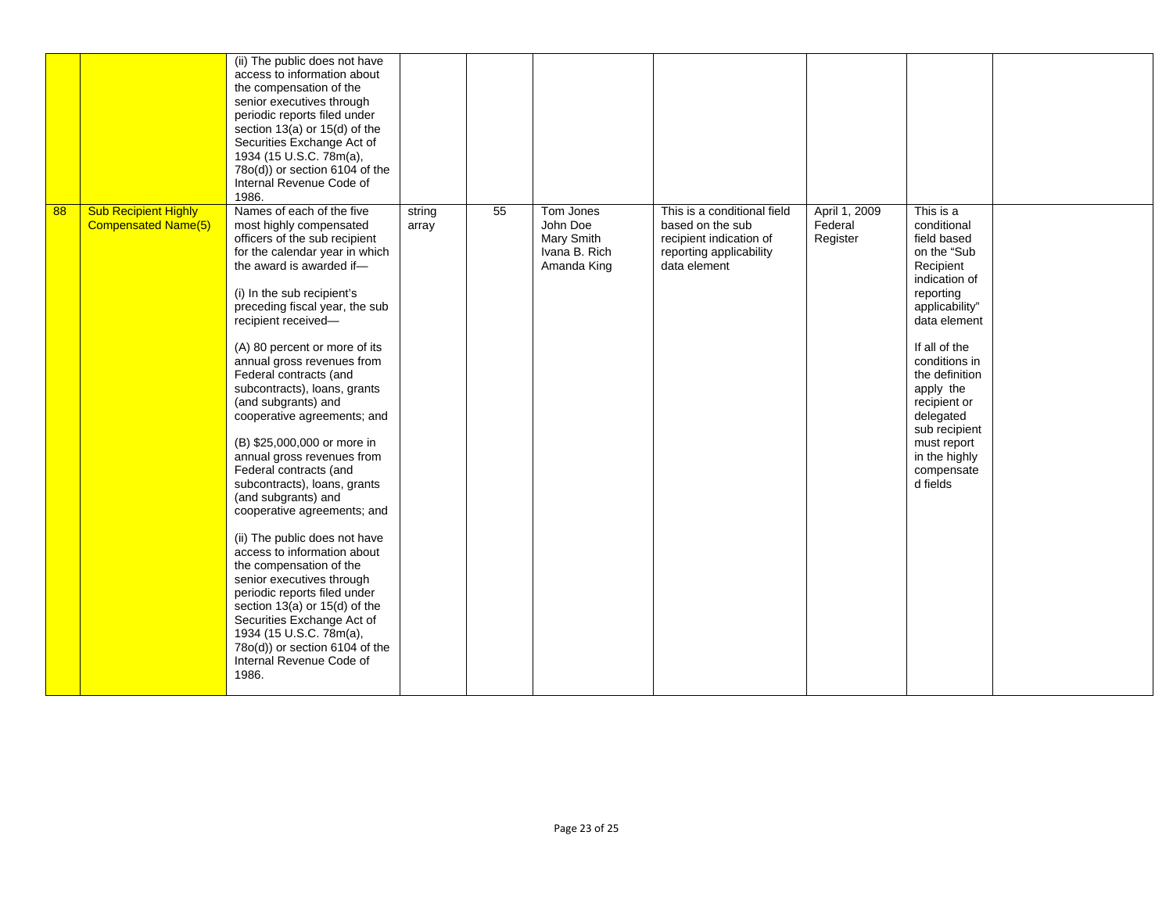|    |                                                           | (ii) The public does not have<br>access to information about<br>the compensation of the<br>senior executives through<br>periodic reports filed under<br>section 13(a) or 15(d) of the<br>Securities Exchange Act of<br>1934 (15 U.S.C. 78m(a),<br>78o(d)) or section 6104 of the<br>Internal Revenue Code of<br>1986.                                                                                                                                                                                                                                                                                                                                                                                                                                                                                                                                                                                                           |                 |    |                                                                     |                                                                                                                       |                                      |                                                                                                                                                                                                                                                                                                              |  |
|----|-----------------------------------------------------------|---------------------------------------------------------------------------------------------------------------------------------------------------------------------------------------------------------------------------------------------------------------------------------------------------------------------------------------------------------------------------------------------------------------------------------------------------------------------------------------------------------------------------------------------------------------------------------------------------------------------------------------------------------------------------------------------------------------------------------------------------------------------------------------------------------------------------------------------------------------------------------------------------------------------------------|-----------------|----|---------------------------------------------------------------------|-----------------------------------------------------------------------------------------------------------------------|--------------------------------------|--------------------------------------------------------------------------------------------------------------------------------------------------------------------------------------------------------------------------------------------------------------------------------------------------------------|--|
| 88 | <b>Sub Recipient Highly</b><br><b>Compensated Name(5)</b> | Names of each of the five<br>most highly compensated<br>officers of the sub recipient<br>for the calendar year in which<br>the award is awarded if-<br>(i) In the sub recipient's<br>preceding fiscal year, the sub<br>recipient received-<br>(A) 80 percent or more of its<br>annual gross revenues from<br>Federal contracts (and<br>subcontracts), loans, grants<br>(and subgrants) and<br>cooperative agreements; and<br>(B) \$25,000,000 or more in<br>annual gross revenues from<br>Federal contracts (and<br>subcontracts), loans, grants<br>(and subgrants) and<br>cooperative agreements; and<br>(ii) The public does not have<br>access to information about<br>the compensation of the<br>senior executives through<br>periodic reports filed under<br>section 13(a) or 15(d) of the<br>Securities Exchange Act of<br>1934 (15 U.S.C. 78m(a),<br>78o(d)) or section 6104 of the<br>Internal Revenue Code of<br>1986. | string<br>array | 55 | Tom Jones<br>John Doe<br>Mary Smith<br>Ivana B. Rich<br>Amanda King | This is a conditional field<br>based on the sub<br>recipient indication of<br>reporting applicability<br>data element | April 1, 2009<br>Federal<br>Register | This is a<br>conditional<br>field based<br>on the "Sub<br>Recipient<br>indication of<br>reporting<br>applicability"<br>data element<br>If all of the<br>conditions in<br>the definition<br>apply the<br>recipient or<br>delegated<br>sub recipient<br>must report<br>in the highly<br>compensate<br>d fields |  |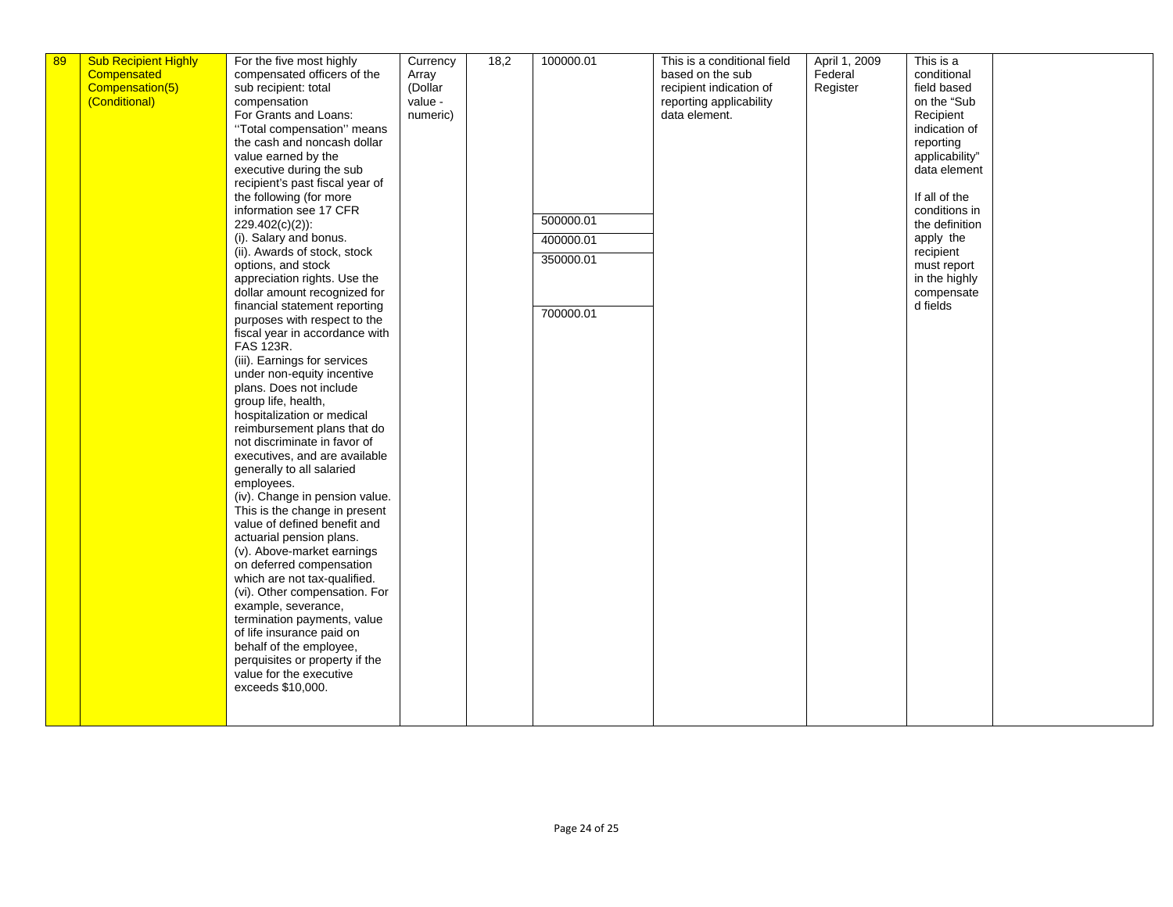| 89 | <b>Sub Recipient Highly</b><br>Compensated | For the five most highly<br>compensated officers of the       | Currency<br>Array | 18,2 | 100000.01 | This is a conditional field<br>based on the sub | April 1, 2009<br>Federal | This is a<br>conditional |  |
|----|--------------------------------------------|---------------------------------------------------------------|-------------------|------|-----------|-------------------------------------------------|--------------------------|--------------------------|--|
|    | Compensation(5)                            | sub recipient: total                                          | (Dollar           |      |           | recipient indication of                         | Register                 | field based              |  |
|    | (Conditional)                              | compensation                                                  | value -           |      |           | reporting applicability                         |                          | on the "Sub              |  |
|    |                                            | For Grants and Loans:                                         | numeric)          |      |           | data element.                                   |                          | Recipient                |  |
|    |                                            | "Total compensation" means                                    |                   |      |           |                                                 |                          | indication of            |  |
|    |                                            | the cash and noncash dollar                                   |                   |      |           |                                                 |                          | reporting                |  |
|    |                                            | value earned by the                                           |                   |      |           |                                                 |                          | applicability"           |  |
|    |                                            | executive during the sub                                      |                   |      |           |                                                 |                          | data element             |  |
|    |                                            | recipient's past fiscal year of                               |                   |      |           |                                                 |                          |                          |  |
|    |                                            | the following (for more                                       |                   |      |           |                                                 |                          | If all of the            |  |
|    |                                            | information see 17 CFR                                        |                   |      |           |                                                 |                          | conditions in            |  |
|    |                                            | 229.402(c)(2)):                                               |                   |      | 500000.01 |                                                 |                          | the definition           |  |
|    |                                            | (i). Salary and bonus.                                        |                   |      | 400000.01 |                                                 |                          | apply the                |  |
|    |                                            | (ii). Awards of stock, stock                                  |                   |      |           |                                                 |                          | recipient                |  |
|    |                                            | options, and stock                                            |                   |      | 350000.01 |                                                 |                          | must report              |  |
|    |                                            | appreciation rights. Use the                                  |                   |      |           |                                                 |                          | in the highly            |  |
|    |                                            | dollar amount recognized for                                  |                   |      |           |                                                 |                          | compensate               |  |
|    |                                            | financial statement reporting                                 |                   |      | 700000.01 |                                                 |                          | d fields                 |  |
|    |                                            | purposes with respect to the                                  |                   |      |           |                                                 |                          |                          |  |
|    |                                            | fiscal year in accordance with                                |                   |      |           |                                                 |                          |                          |  |
|    |                                            | FAS 123R.                                                     |                   |      |           |                                                 |                          |                          |  |
|    |                                            | (iii). Earnings for services                                  |                   |      |           |                                                 |                          |                          |  |
|    |                                            | under non-equity incentive                                    |                   |      |           |                                                 |                          |                          |  |
|    |                                            | plans. Does not include                                       |                   |      |           |                                                 |                          |                          |  |
|    |                                            | group life, health,                                           |                   |      |           |                                                 |                          |                          |  |
|    |                                            | hospitalization or medical                                    |                   |      |           |                                                 |                          |                          |  |
|    |                                            | reimbursement plans that do                                   |                   |      |           |                                                 |                          |                          |  |
|    |                                            | not discriminate in favor of                                  |                   |      |           |                                                 |                          |                          |  |
|    |                                            | executives, and are available                                 |                   |      |           |                                                 |                          |                          |  |
|    |                                            | generally to all salaried                                     |                   |      |           |                                                 |                          |                          |  |
|    |                                            | employees.                                                    |                   |      |           |                                                 |                          |                          |  |
|    |                                            | (iv). Change in pension value.                                |                   |      |           |                                                 |                          |                          |  |
|    |                                            | This is the change in present<br>value of defined benefit and |                   |      |           |                                                 |                          |                          |  |
|    |                                            |                                                               |                   |      |           |                                                 |                          |                          |  |
|    |                                            | actuarial pension plans.<br>(v). Above-market earnings        |                   |      |           |                                                 |                          |                          |  |
|    |                                            | on deferred compensation                                      |                   |      |           |                                                 |                          |                          |  |
|    |                                            | which are not tax-qualified.                                  |                   |      |           |                                                 |                          |                          |  |
|    |                                            | (vi). Other compensation. For                                 |                   |      |           |                                                 |                          |                          |  |
|    |                                            | example, severance,                                           |                   |      |           |                                                 |                          |                          |  |
|    |                                            | termination payments, value                                   |                   |      |           |                                                 |                          |                          |  |
|    |                                            | of life insurance paid on                                     |                   |      |           |                                                 |                          |                          |  |
|    |                                            | behalf of the employee,                                       |                   |      |           |                                                 |                          |                          |  |
|    |                                            | perquisites or property if the                                |                   |      |           |                                                 |                          |                          |  |
|    |                                            | value for the executive                                       |                   |      |           |                                                 |                          |                          |  |
|    |                                            | exceeds \$10,000.                                             |                   |      |           |                                                 |                          |                          |  |
|    |                                            |                                                               |                   |      |           |                                                 |                          |                          |  |
|    |                                            |                                                               |                   |      |           |                                                 |                          |                          |  |
|    |                                            |                                                               |                   |      |           |                                                 |                          |                          |  |